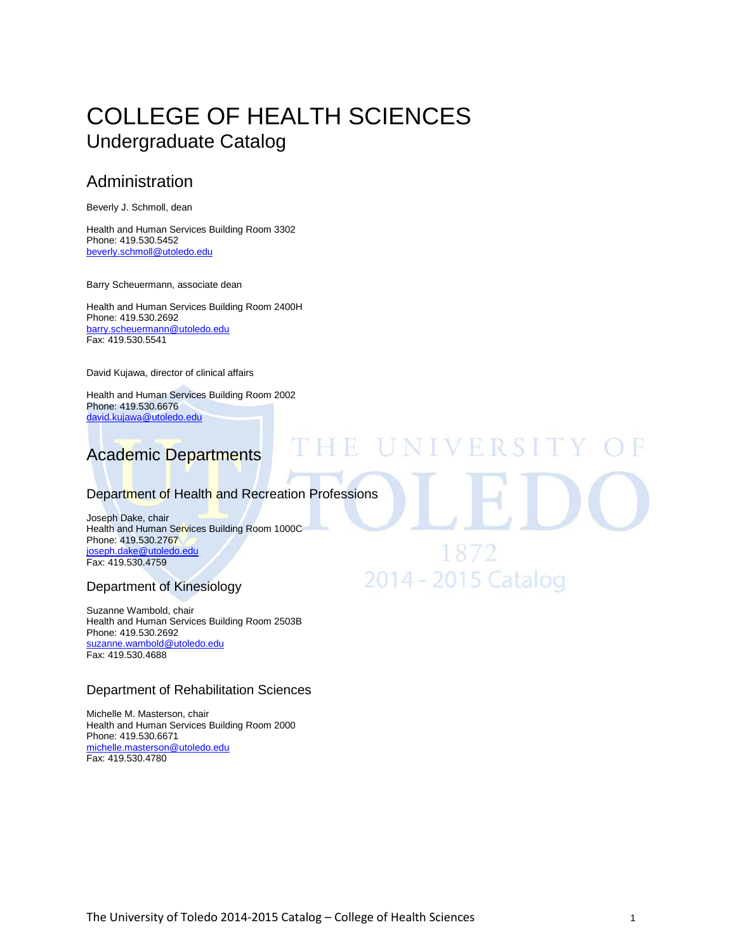# [COLLEGE OF H](http://utoledo.edu/education/)EALTH SCIENCES Undergraduate Catalog

# Administration

Beverly J. Schmoll, dean

Health and Human Services Building Room 3302 Phone: 419.530.5452 [beverly.schmoll@utoledo.edu](mailto:beverly.schmoll@utoledo.edu)

Barry Scheuermann, associate dean

Health and Human Services Building Room 2400H Phone: 419.530.2692 [barry.scheuermann@utoledo.edu](mailto:barbaranne.benjamin@utoledo.edu) Fax: 419.530.5541

David Kujawa, director of clinical affairs

Health and Human Services Building Room 2002 Phone: 419.530.6676 [david.kujawa@utoledo.edu](mailto:david.kujawa@utoledo.edu)



#### Department of Health and Recreation Professions

HE UNIVERSIT

18/2

2014 - 2015 Catalog

Joseph Dake, chair Health and Human Services Building Room 1000C Phone: 419.530.2767 [joseph.dake@utoledo.edu](mailto:joseph.dake@utoledo.edu) Fax: 419.530.4759

#### Department of Kinesiology

Suzanne Wambold, chair Health and Human Services Building Room 2503B Phone: 419.530.2692 [suzanne.wambold@utoledo.edu](mailto:barry.scheuermann@utoledo.edu) Fax: 419.530.4688

#### Department of Rehabilitation Sciences

Michelle M. Masterson, chair Health and Human Services Building Room 2000 Phone: 419.530.6671 [michelle.masterson@utoledo.edu](mailto:michelle.masterson@utoledo.edu) Fax: 419.530.4780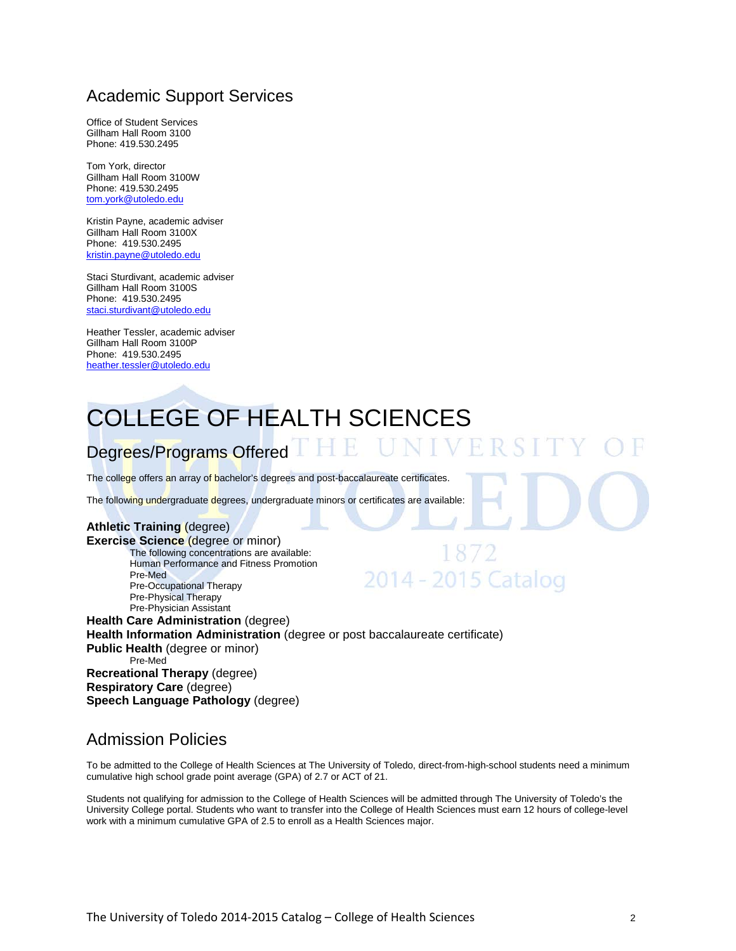# Academic Support Services

Office of Student Services Gillham Hall Room 3100 Phone: 419.530.2495

Tom York, director Gillham Hall Room 3100W Phone: 419.530.2495 [tom.york@utoledo.edu](mailto:tom.york@utoledo.edu)

Kristin Payne, academic adviser Gillham Hall Room 3100X Phone: 419.530.2495 [kristin.payne@utoledo.edu](mailto:sharon.periat@utoledo.edu)

Staci Sturdivant, academic adviser Gillham Hall Room 3100S Phone: 419.530.2495 [staci.sturdivant@utoledo.edu](mailto:staci.sturdivant@utoledo.edu)

Heather Tessler, academic adviser Gillham Hall Room 3100P Phone: 419.530.2495 [heather.tessler@utoledo.edu](mailto:heather.tessler@utoledo.edu)

# [COLLEGE OF H](http://utoledo.edu/education/)EALTH SCIENCES

# Degrees/Programs Offered THE

The college offers an array of bachelor's degrees and post-baccalaureate certificates.

The following undergraduate degrees, undergraduate minors or certificates are available:

#### **Athletic Training** (degree)

**Exercise Science** (degree or minor) The following concentrations are available: Human Performance and Fitness Promotion Pre-Med Pre-Occupational Therapy Pre-Physical Therapy Pre-Physician Assistant

# 2014 - 2015 Catalog

UNIVER

**Health Care Administration** (degree) **Health Information Administration** (degree or post baccalaureate certificate) **Public Health** (degree or minor) Pre-Med **Recreational Therapy** (degree) **Respiratory Care** (degree) **Speech Language Pathology** (degree)

# Admission Policies

To be admitted to the College of Health Sciences at The University of Toledo, direct-from-high-school students need a minimum cumulative high school grade point average (GPA) of 2.7 or ACT of 21.

Students not qualifying for admission to the College of Health Sciences will be admitted through The University of Toledo's the University College portal. Students who want to transfer into the College of Health Sciences must earn 12 hours of college-level work with a minimum cumulative GPA of 2.5 to enroll as a Health Sciences major.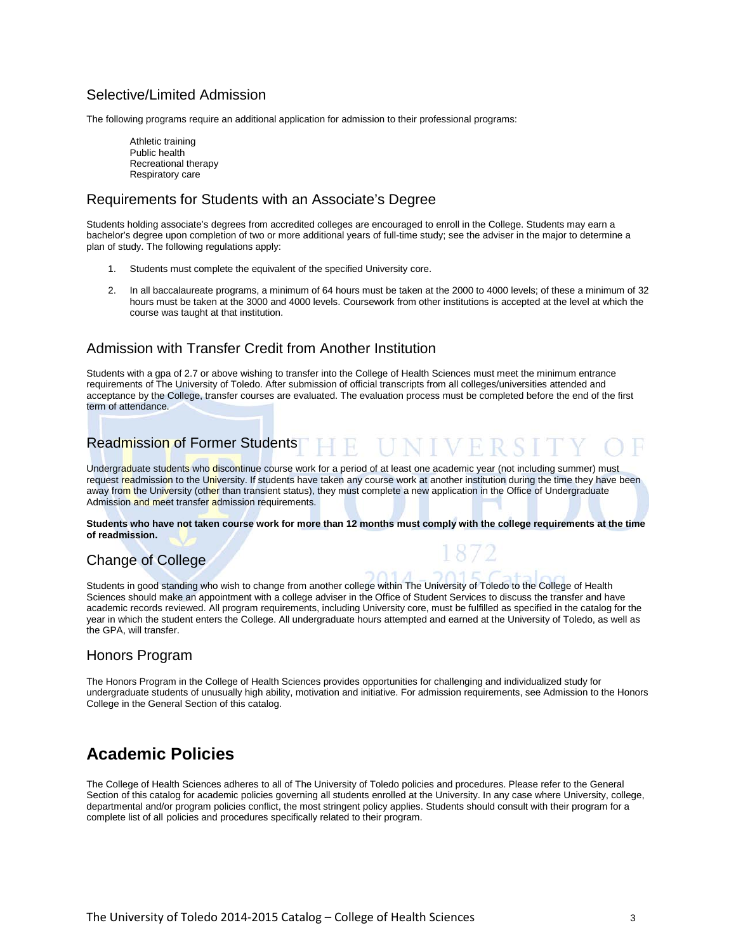#### Selective/Limited Admission

The following programs require an additional application for admission to their professional programs:

Athletic training Public health Recreational therapy Respiratory care

#### Requirements for Students with an Associate's Degree

Students holding associate's degrees from accredited colleges are encouraged to enroll in the College. Students may earn a bachelor's degree upon completion of two or more additional years of full-time study; see the adviser in the major to determine a plan of study. The following regulations apply:

- 1. Students must complete the equivalent of the specified University core.
- 2. In all baccalaureate programs, a minimum of 64 hours must be taken at the 2000 to 4000 levels; of these a minimum of 32 hours must be taken at the 3000 and 4000 levels. Coursework from other institutions is accepted at the level at which the course was taught at that institution.

#### Admission with Transfer Credit from Another Institution

Students with a gpa of 2.7 or above wishing to transfer into the College of Health Sciences must meet the minimum entrance requirements of The University of Toledo. After submission of official transcripts from all colleges/universities attended and acceptance by the College, transfer courses are evaluated. The evaluation process must be completed before the end of the first term of attendance.

# Readmission of Former Students HEUNIVERSI

Undergraduate students who discontinue course work for a period of at least one academic year (not including summer) must request readmission to the University. If students have taken any course work at another institution during the time they have been away from the University (other than transient status), they must complete a new application in the Office of Undergraduate Admission and meet transfer admission requirements.

**Students who have not taken course work for more than 12 months must comply with the college requirements at the time of readmission.**

#### Change of College

Students in good standing who wish to change from another college within The University of Toledo to the College of Health Sciences should make an appointment with a college adviser in the Office of Student Services to discuss the transfer and have academic records reviewed. All program requirements, including University core, must be fulfilled as specified in the catalog for the year in which the student enters the College. All undergraduate hours attempted and earned at the University of Toledo, as well as the GPA, will transfer.

#### Honors Program

The Honors Program in the College of Health Sciences provides opportunities for challenging and individualized study for undergraduate students of unusually high ability, motivation and initiative. For admission requirements, see Admission to the Honors College in the General Section of this catalog.

# **Academic Policies**

The College of Health Sciences adheres to all of The University of Toledo policies and procedures. Please refer to the General Section of this catalog for academic policies governing all students enrolled at the University. In any case where University, college, departmental and/or program policies conflict, the most stringent policy applies. Students should consult with their program for a complete list of all policies and procedures specifically related to their program.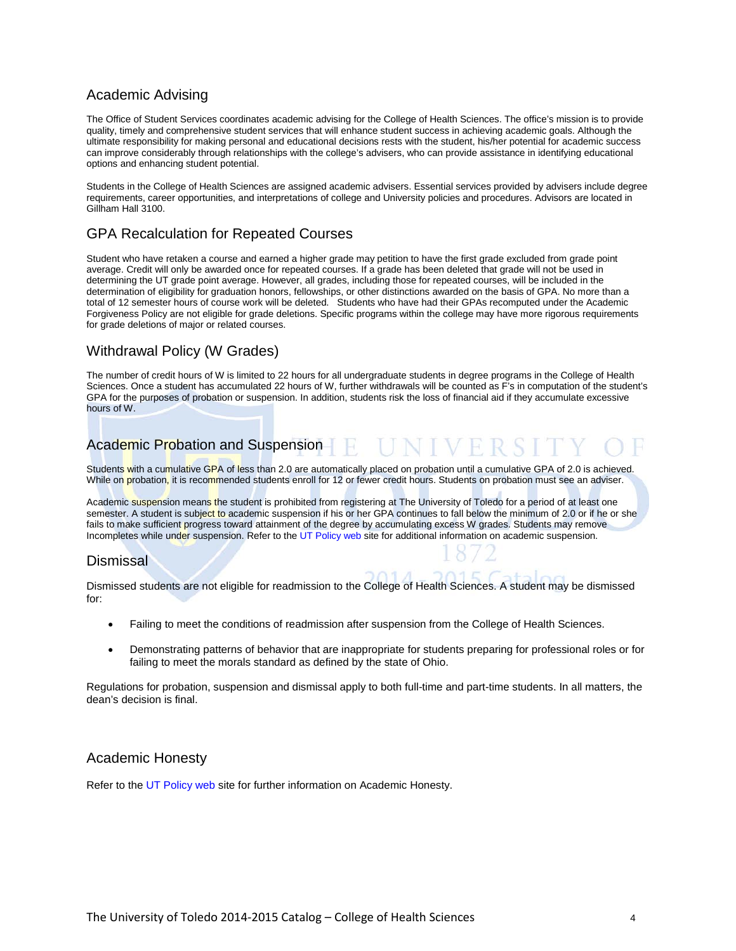#### Academic Advising

The Office of Student Services coordinates academic advising for the College of Health Sciences. The office's mission is to provide quality, timely and comprehensive student services that will enhance student success in achieving academic goals. Although the ultimate responsibility for making personal and educational decisions rests with the student, his/her potential for academic success can improve considerably through relationships with the college's advisers, who can provide assistance in identifying educational options and enhancing student potential.

Students in the College of Health Sciences are assigned academic advisers. Essential services provided by advisers include degree requirements, career opportunities, and interpretations of college and University policies and procedures. Advisors are located in Gillham Hall 3100.

#### GPA Recalculation for Repeated Courses

Student who have retaken a course and earned a higher grade may petition to have the first grade excluded from grade point average. Credit will only be awarded once for repeated courses. If a grade has been deleted that grade will not be used in determining the UT grade point average. However, all grades, including those for repeated courses, will be included in the determination of eligibility for graduation honors, fellowships, or other distinctions awarded on the basis of GPA. No more than a total of 12 semester hours of course work will be deleted. Students who have had their GPAs recomputed under the Academic Forgiveness Policy are not eligible for grade deletions. Specific programs within the college may have more rigorous requirements for grade deletions of major or related courses.

#### Withdrawal Policy (W Grades)

The number of credit hours of W is limited to 22 hours for all undergraduate students in degree programs in the College of Health Sciences. Once a student has accumulated 22 hours of W, further withdrawals will be counted as F's in computation of the student's GPA for the purposes of probation or suspension. In addition, students risk the loss of financial aid if they accumulate excessive hours of W.

#### Academic Probation and Suspension - 141

Students with a cumulative GPA of less than 2.0 are automatically placed on probation until a cumulative GPA of 2.0 is achieved. While on probation, it is recommended students enroll for 12 or fewer credit hours. Students on probation must see an adviser.

Academic suspension means the student is prohibited from registering at The University of Toledo for a period of at least one semester. A student is subject to academic suspension if his or her GPA continues to fall below the minimum of 2.0 or if he or she fails to make sufficient progress toward attainment of the degree by accumulating excess W grades. Students may remove Incompletes while under suspension. Refer to th[e UT Policy web](http://utoledo.edu/policies/) site for additional information on academic suspension.

#### **Dismissal**

Dismissed students are not eligible for readmission to the College of Health Sciences. A student may be dismissed for:

- Failing to meet the conditions of readmission after suspension from the College of Health Sciences.
- Demonstrating patterns of behavior that are inappropriate for students preparing for professional roles or for failing to meet the morals standard as defined by the state of Ohio.

Regulations for probation, suspension and dismissal apply to both full-time and part-time students. In all matters, the dean's decision is final.

#### Academic Honesty

Refer to th[e UT Policy web](http://utoledo.edu/policies/) site for further information on Academic Honesty.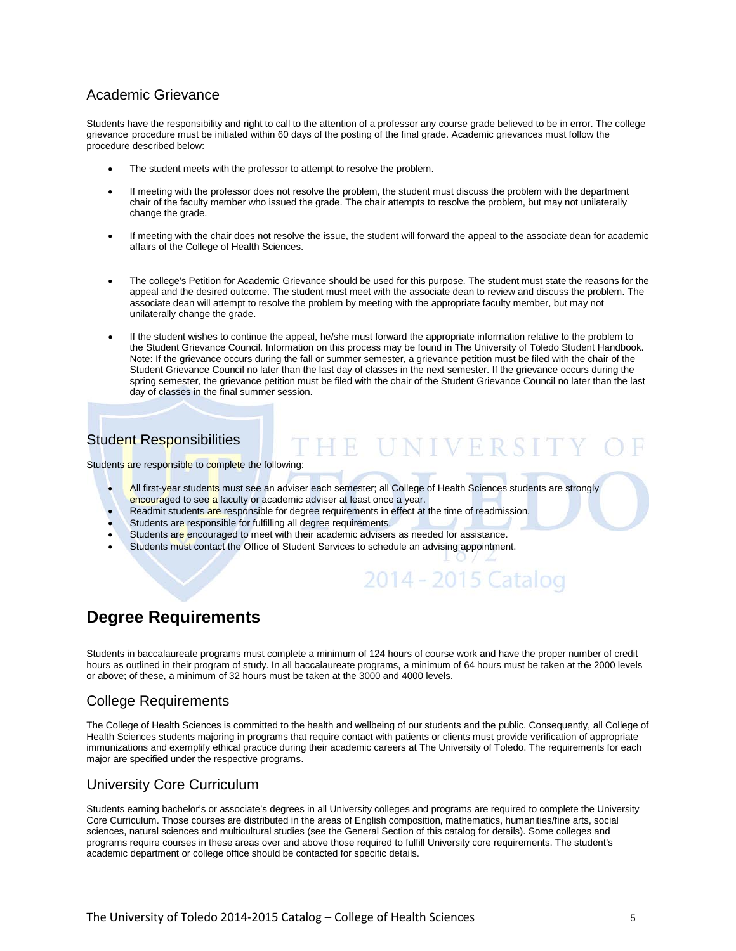#### Academic Grievance

Students have the responsibility and right to call to the attention of a professor any course grade believed to be in error. The college grievance procedure must be initiated within 60 days of the posting of the final grade. Academic grievances must follow the procedure described below:

- The student meets with the professor to attempt to resolve the problem.
- If meeting with the professor does not resolve the problem, the student must discuss the problem with the department chair of the faculty member who issued the grade. The chair attempts to resolve the problem, but may not unilaterally change the grade.
- If meeting with the chair does not resolve the issue, the student will forward the appeal to the associate dean for academic affairs of the College of Health Sciences.
- The college's Petition for Academic Grievance should be used for this purpose. The student must state the reasons for the appeal and the desired outcome. The student must meet with the associate dean to review and discuss the problem. The associate dean will attempt to resolve the problem by meeting with the appropriate faculty member, but may not unilaterally change the grade.
- If the student wishes to continue the appeal, he/she must forward the appropriate information relative to the problem to the Student Grievance Council. Information on this process may be found in The University of Toledo Student Handbook. Note: If the grievance occurs during the fall or summer semester, a grievance petition must be filed with the chair of the Student Grievance Council no later than the last day of classes in the next semester. If the grievance occurs during the spring semester, the grievance petition must be filed with the chair of the Student Grievance Council no later than the last day of classes in the final summer session.

### Student Responsibilities

Students are responsible to complete the following:

- All first-year students must see an adviser each semester; all College of Health Sciences students are strongly encouraged to see a faculty or academic adviser at least once a year.
- Readmit students are responsible for degree requirements in effect at the time of readmission.
- Students are responsible for fulfilling all degree requirements.
- Students are encouraged to meet with their academic advisers as needed for assistance.
- Students must contact the Office of Student Services to schedule an advising appointment.

# 2014 - 2015 Catalog

HE UNIVERSIT

# **Degree Requirements**

Students in baccalaureate programs must complete a minimum of 124 hours of course work and have the proper number of credit hours as outlined in their program of study. In all baccalaureate programs, a minimum of 64 hours must be taken at the 2000 levels or above; of these, a minimum of 32 hours must be taken at the 3000 and 4000 levels.

#### College Requirements

The College of Health Sciences is committed to the health and wellbeing of our students and the public. Consequently, all College of Health Sciences students majoring in programs that require contact with patients or clients must provide verification of appropriate immunizations and exemplify ethical practice during their academic careers at The University of Toledo. The requirements for each major are specified under the respective programs.

#### University Core Curriculum

Students earning bachelor's or associate's degrees in all University colleges and programs are required to complete the University Core Curriculum. Those courses are distributed in the areas of English composition, mathematics, humanities/fine arts, social sciences, natural sciences and multicultural studies (see the General Section of this catalog for details). Some colleges and programs require courses in these areas over and above those required to fulfill University core requirements. The student's academic department or college office should be contacted for specific details.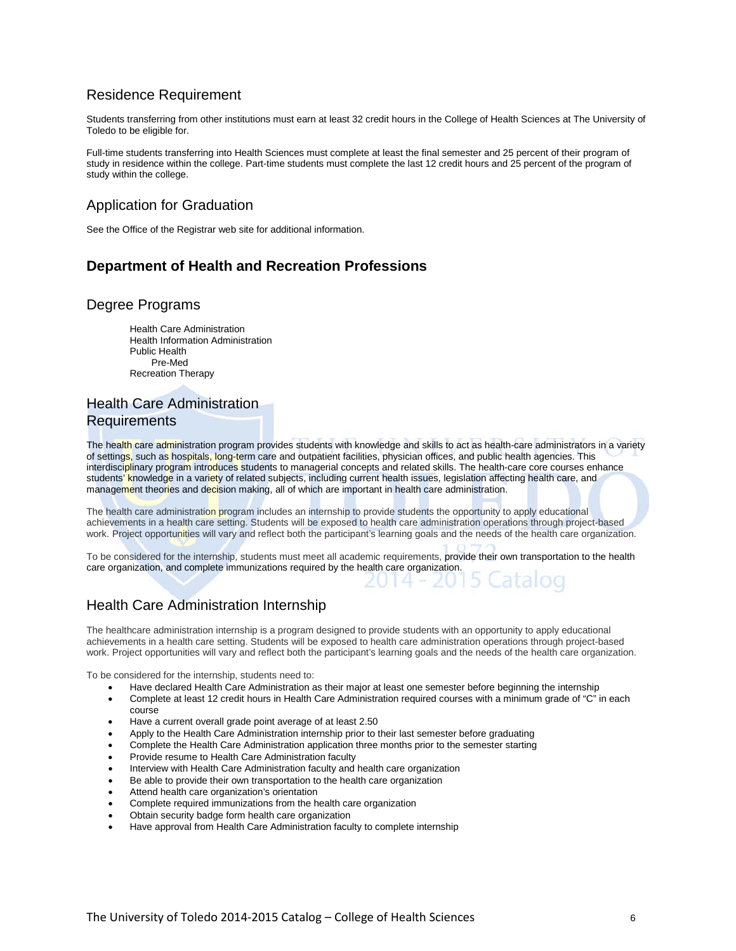#### Residence Requirement

Students transferring from other institutions must earn at least 32 credit hours in the College of Health Sciences at The University of Toledo to be eligible for.

Full-time students transferring into Health Sciences must complete at least the final semester and 25 percent of their program of study in residence within the college. Part-time students must complete the last 12 credit hours and 25 percent of the program of study within the college.

#### Application for Graduation

See the Office of the Registrar web site for additional information.

### **Department of Health and Recreation Professions**

#### Degree Programs

Health Care Administration Health Information Administration Public Health Pre-Med Recreation Therapy

#### Health Care Administration Requirements

The health care administration program provides students with knowledge and skills to act as health-care administrators in a variety of settings, such as hospitals, long-term care and outpatient facilities, physician offices, and public health agencies. This interdisciplinary program introduces students to managerial concepts and related skills. The health-care core courses enhance students' knowledge in a variety of related subjects, including current health issues, legislation affecting health care, and management theories and decision making, all of which are important in health care administration.

The health care administration program includes an internship to provide students the opportunity to apply educational achievements in a health care setting. Students will be exposed to health care administration operations through project-based work. Project opportunities will vary and reflect both the participant's learning goals and the needs of the health care organization.

To be considered for the internship, students must meet all academic requirements, provide their own transportation to the health care organization, and complete immunizations required by the health care organization.

#### Health Care Administration Internship

The healthcare administration internship is a program designed to provide students with an opportunity to apply educational achievements in a health care setting. Students will be exposed to health care administration operations through project-based work. Project opportunities will vary and reflect both the participant's learning goals and the needs of the health care organization.

To be considered for the internship, students need to:

- Have declared Health Care Administration as their major at least one semester before beginning the internship
- Complete at least 12 credit hours in Health Care Administration required courses with a minimum grade of "C" in each course
- Have a current overall grade point average of at least 2.50
- Apply to the Health Care Administration internship prior to their last semester before graduating
- Complete the Health Care Administration application three months prior to the semester starting
- Provide resume to Health Care Administration faculty
- Interview with Health Care Administration faculty and health care organization
- Be able to provide their own transportation to the health care organization
- Attend health care organization's orientation
- Complete required immunizations from the health care organization
- Obtain security badge form health care organization
- Have approval from Health Care Administration faculty to complete internship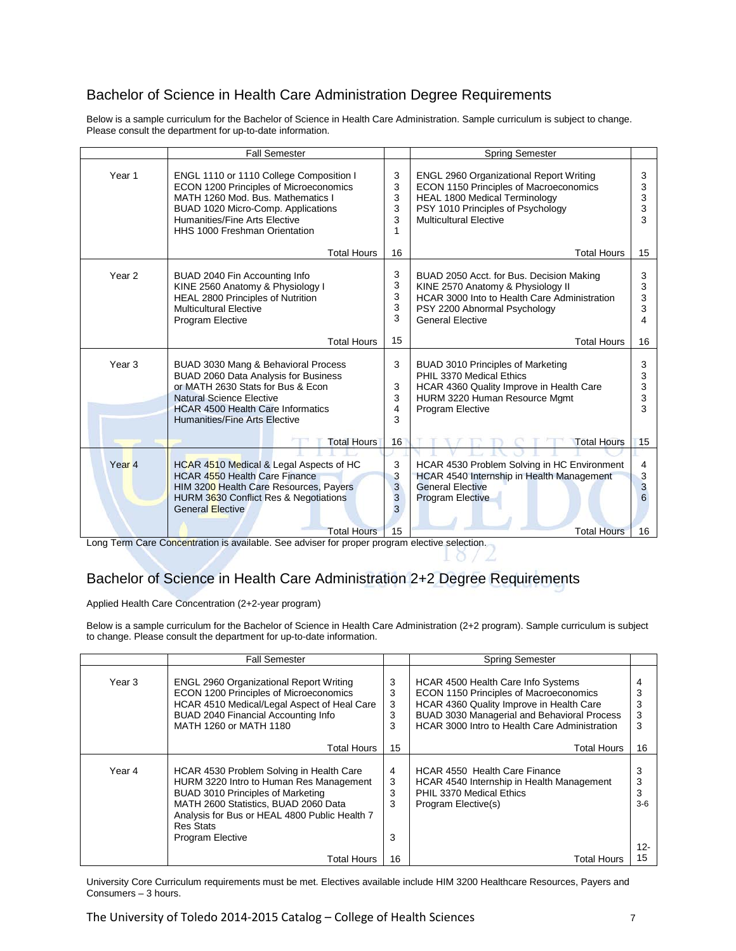## Bachelor of Science in Health Care Administration Degree Requirements

Below is a sample curriculum for the Bachelor of Science in Health Care Administration. Sample curriculum is subject to change. Please consult the department for up-to-date information.

|                   | <b>Fall Semester</b>                                                                                                                                                                                                           |                             | <b>Spring Semester</b>                                                                                                                                                                                 |                        |
|-------------------|--------------------------------------------------------------------------------------------------------------------------------------------------------------------------------------------------------------------------------|-----------------------------|--------------------------------------------------------------------------------------------------------------------------------------------------------------------------------------------------------|------------------------|
| Year 1            | ENGL 1110 or 1110 College Composition I<br>ECON 1200 Principles of Microeconomics<br>MATH 1260 Mod. Bus. Mathematics I<br>BUAD 1020 Micro-Comp. Applications<br>Humanities/Fine Arts Flective<br>HHS 1000 Freshman Orientation | 3<br>3<br>3<br>3<br>3<br>1  | <b>ENGL 2960 Organizational Report Writing</b><br><b>ECON 1150 Principles of Macroeconomics</b><br><b>HEAL 1800 Medical Terminology</b><br>PSY 1010 Principles of Psychology<br>Multicultural Flective | 3<br>3<br>3<br>3<br>3  |
|                   | <b>Total Hours</b>                                                                                                                                                                                                             | 16                          | <b>Total Hours</b>                                                                                                                                                                                     | 15                     |
| Year <sub>2</sub> | BUAD 2040 Fin Accounting Info<br>KINE 2560 Anatomy & Physiology I<br>HEAL 2800 Principles of Nutrition<br><b>Multicultural Elective</b><br><b>Program Elective</b>                                                             | 3<br>3<br>3<br>3<br>3       | BUAD 2050 Acct. for Bus. Decision Making<br>KINE 2570 Anatomy & Physiology II<br>HCAR 3000 Into to Health Care Administration<br>PSY 2200 Abnormal Psychology<br><b>General Elective</b>               | 3<br>3<br>3<br>3<br>4  |
|                   | <b>Total Hours</b>                                                                                                                                                                                                             | 15                          | <b>Total Hours</b>                                                                                                                                                                                     | 16                     |
| Year <sub>3</sub> | BUAD 3030 Mang & Behavioral Process<br>BUAD 2060 Data Analysis for Business<br>or MATH 2630 Stats for Bus & Econ<br>Natural Science Elective<br><b>HCAR 4500 Health Care Informatics</b><br>Humanities/Fine Arts Elective      | 3<br>3<br>3<br>4<br>3       | BUAD 3010 Principles of Marketing<br>PHIL 3370 Medical Ethics<br>HCAR 4360 Quality Improve in Health Care<br>HURM 3220 Human Resource Mgmt<br>Program Elective                                         | 3<br>3<br>3<br>3<br>3  |
|                   | <b>Total Hours</b>                                                                                                                                                                                                             | 16                          | <b>Total Hours</b>                                                                                                                                                                                     | 15                     |
| Year <sub>4</sub> | HCAR 4510 Medical & Legal Aspects of HC<br><b>HCAR 4550 Health Care Finance</b><br>HIM 3200 Health Care Resources, Payers<br>HURM 3630 Conflict Res & Negotiations<br><b>General Elective</b><br><b>Total Hours</b>            | 3<br>3<br>3<br>3<br>3<br>15 | HCAR 4530 Problem Solving in HC Environment<br>HCAR 4540 Internship in Health Management<br><b>General Elective</b><br><b>Program Elective</b><br><b>Total Hours</b>                                   | 4<br>3<br>3<br>6<br>16 |
|                   |                                                                                                                                                                                                                                |                             |                                                                                                                                                                                                        |                        |

Long Term Care Concentration is available. See adviser for proper program elective selection.

# Bachelor of Science in Health Care Administration 2+2 Degree Requirements

Applied Health Care Concentration (2+2-year program)

Below is a sample curriculum for the Bachelor of Science in Health Care Administration (2+2 program). Sample curriculum is subject to change. Please consult the department for up-to-date information.

|        | <b>Fall Semester</b>                                                                                                                                                                                                                                      |                       | <b>Spring Semester</b>                                                                                                                                                                                                   |                             |
|--------|-----------------------------------------------------------------------------------------------------------------------------------------------------------------------------------------------------------------------------------------------------------|-----------------------|--------------------------------------------------------------------------------------------------------------------------------------------------------------------------------------------------------------------------|-----------------------------|
| Year 3 | <b>ENGL 2960 Organizational Report Writing</b><br>ECON 1200 Principles of Microeconomics<br>HCAR 4510 Medical/Legal Aspect of Heal Care<br>BUAD 2040 Financial Accounting Info<br>MATH 1260 or MATH 1180                                                  | 3<br>3<br>3<br>3<br>3 | HCAR 4500 Health Care Info Systems<br>ECON 1150 Principles of Macroeconomics<br>HCAR 4360 Quality Improve in Health Care<br>BUAD 3030 Managerial and Behavioral Process<br>HCAR 3000 Intro to Health Care Administration | 3<br>3<br>3<br>3            |
|        | Total Hours                                                                                                                                                                                                                                               | 15                    | <b>Total Hours</b>                                                                                                                                                                                                       | 16                          |
| Year 4 | HCAR 4530 Problem Solving in Health Care<br>HURM 3220 Intro to Human Res Management<br>BUAD 3010 Principles of Marketing<br>MATH 2600 Statistics, BUAD 2060 Data<br>Analysis for Bus or HEAL 4800 Public Health 7<br><b>Res Stats</b><br>Program Elective | 4<br>3<br>3<br>3<br>3 | <b>HCAR 4550 Health Care Finance</b><br>HCAR 4540 Internship in Health Management<br>PHIL 3370 Medical Ethics<br>Program Elective(s)                                                                                     | 3<br>3<br>3<br>$3-6$<br>12- |
|        | Total Hours                                                                                                                                                                                                                                               | 16                    | Total Hours                                                                                                                                                                                                              |                             |

University Core Curriculum requirements must be met. Electives available include HIM 3200 Healthcare Resources, Payers and Consumers – 3 hours.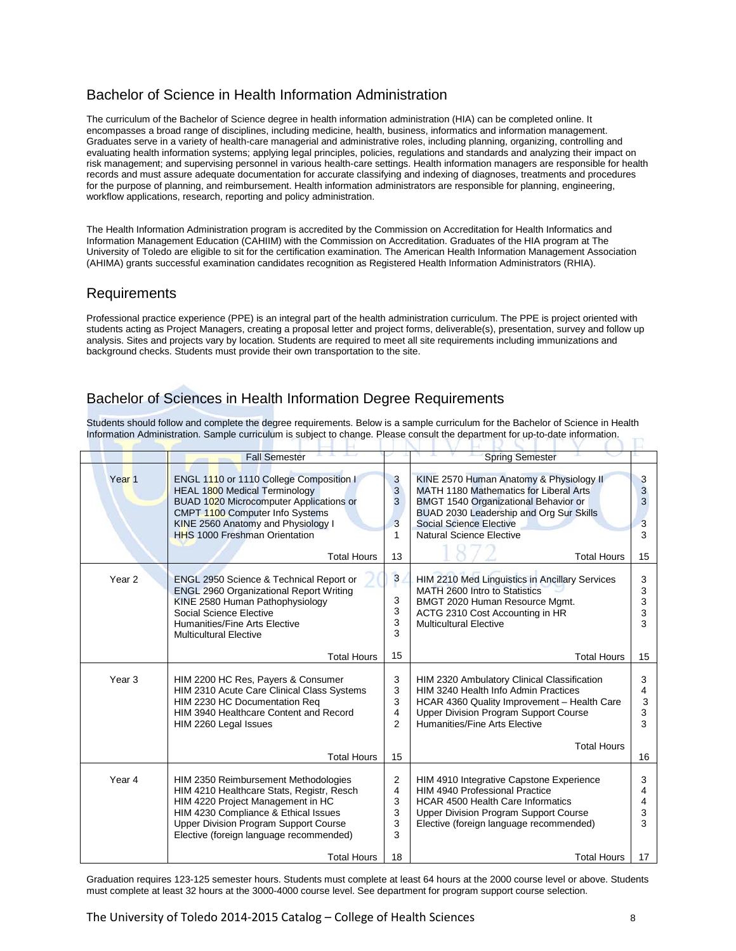### Bachelor of Science in Health Information Administration

The curriculum of the Bachelor of Science degree in health information administration (HIA) can be completed online. It encompasses a broad range of disciplines, including medicine, health, business, informatics and information management. Graduates serve in a variety of health-care managerial and administrative roles, including planning, organizing, controlling and evaluating health information systems; applying legal principles, policies, regulations and standards and analyzing their impact on risk management; and supervising personnel in various health-care settings. Health information managers are responsible for health records and must assure adequate documentation for accurate classifying and indexing of diagnoses, treatments and procedures for the purpose of planning, and reimbursement. Health information administrators are responsible for planning, engineering, workflow applications, research, reporting and policy administration.

The Health Information Administration program is accredited by the Commission on Accreditation for Health Informatics and Information Management Education (CAHIIM) with the Commission on Accreditation. Graduates of the HIA program at The University of Toledo are eligible to sit for the certification examination. The American Health Information Management Association (AHIMA) grants successful examination candidates recognition as Registered Health Information Administrators (RHIA).

#### Requirements

Professional practice experience (PPE) is an integral part of the health administration curriculum. The PPE is project oriented with students acting as Project Managers, creating a proposal letter and project forms, deliverable(s), presentation, survey and follow up analysis. Sites and projects vary by location. Students are required to meet all site requirements including immunizations and background checks. Students must provide their own transportation to the site.

# Bachelor of Sciences in Health Information Degree Requirements

Students should follow and complete the degree requirements. Below is a sample curriculum for the Bachelor of Science in Health Information Administration. Sample curriculum is subject to change. Please consult the department for up-to-date information.

-13

|                   | <b>Fall Semester</b>                                                                                                                                                                                                                                              |                                    | <b>Spring Semester</b>                                                                                                                                                                                                                                          |                             |
|-------------------|-------------------------------------------------------------------------------------------------------------------------------------------------------------------------------------------------------------------------------------------------------------------|------------------------------------|-----------------------------------------------------------------------------------------------------------------------------------------------------------------------------------------------------------------------------------------------------------------|-----------------------------|
| Year <sub>1</sub> | ENGL 1110 or 1110 College Composition I<br><b>HEAL 1800 Medical Terminology</b><br>BUAD 1020 Microcomputer Applications or<br>CMPT 1100 Computer Info Systems<br>KINE 2560 Anatomy and Physiology I<br><b>HHS 1000 Freshman Orientation</b><br><b>Total Hours</b> | 3<br>3<br>3<br>3<br>1<br>13        | KINE 2570 Human Anatomy & Physiology II<br>MATH 1180 Mathematics for Liberal Arts<br>BMGT 1540 Organizational Behavior or<br>BUAD 2030 Leadership and Org Sur Skills<br><b>Social Science Elective</b><br><b>Natural Science Elective</b><br><b>Total Hours</b> | 3<br>3<br>3<br>3<br>3<br>15 |
| Year <sub>2</sub> | <b>ENGL 2950 Science &amp; Technical Report or</b><br><b>ENGL 2960 Organizational Report Writing</b><br>KINE 2580 Human Pathophysiology<br>Social Science Elective<br>Humanities/Fine Arts Elective<br><b>Multicultural Elective</b>                              | 3<br>3<br>3<br>3<br>3              | HIM 2210 Med Linguistics in Ancillary Services<br>MATH 2600 Intro to Statistics<br>BMGT 2020 Human Resource Mgmt.<br>ACTG 2310 Cost Accounting in HR<br><b>Multicultural Elective</b>                                                                           | 3<br>3<br>3<br>3<br>3       |
|                   | <b>Total Hours</b>                                                                                                                                                                                                                                                | 15                                 | <b>Total Hours</b>                                                                                                                                                                                                                                              | 15                          |
| Year <sub>3</sub> | HIM 2200 HC Res, Payers & Consumer<br>HIM 2310 Acute Care Clinical Class Systems<br>HIM 2230 HC Documentation Req<br>HIM 3940 Healthcare Content and Record<br>HIM 2260 Legal Issues                                                                              | 3<br>3<br>3<br>4<br>$\mathfrak{p}$ | HIM 2320 Ambulatory Clinical Classification<br>HIM 3240 Health Info Admin Practices<br>HCAR 4360 Quality Improvement - Health Care<br><b>Upper Division Program Support Course</b><br>Humanities/Fine Arts Elective                                             | 3<br>4<br>3<br>3<br>3       |
|                   | <b>Total Hours</b>                                                                                                                                                                                                                                                | 15                                 | <b>Total Hours</b>                                                                                                                                                                                                                                              | 16                          |
| Year 4            | HIM 2350 Reimbursement Methodologies<br>HIM 4210 Healthcare Stats, Registr, Resch<br>HIM 4220 Project Management in HC<br>HIM 4230 Compliance & Ethical Issues<br><b>Upper Division Program Support Course</b><br>Elective (foreign language recommended)         | 2<br>4<br>3<br>3<br>3<br>3         | HIM 4910 Integrative Capstone Experience<br><b>HIM 4940 Professional Practice</b><br><b>HCAR 4500 Health Care Informatics</b><br><b>Upper Division Program Support Course</b><br>Elective (foreign language recommended)                                        | 3<br>4<br>4<br>3<br>3       |
|                   | <b>Total Hours</b>                                                                                                                                                                                                                                                | 18                                 | <b>Total Hours</b>                                                                                                                                                                                                                                              | 17                          |

Graduation requires 123-125 semester hours. Students must complete at least 64 hours at the 2000 course level or above. Students must complete at least 32 hours at the 3000-4000 course level. See department for program support course selection.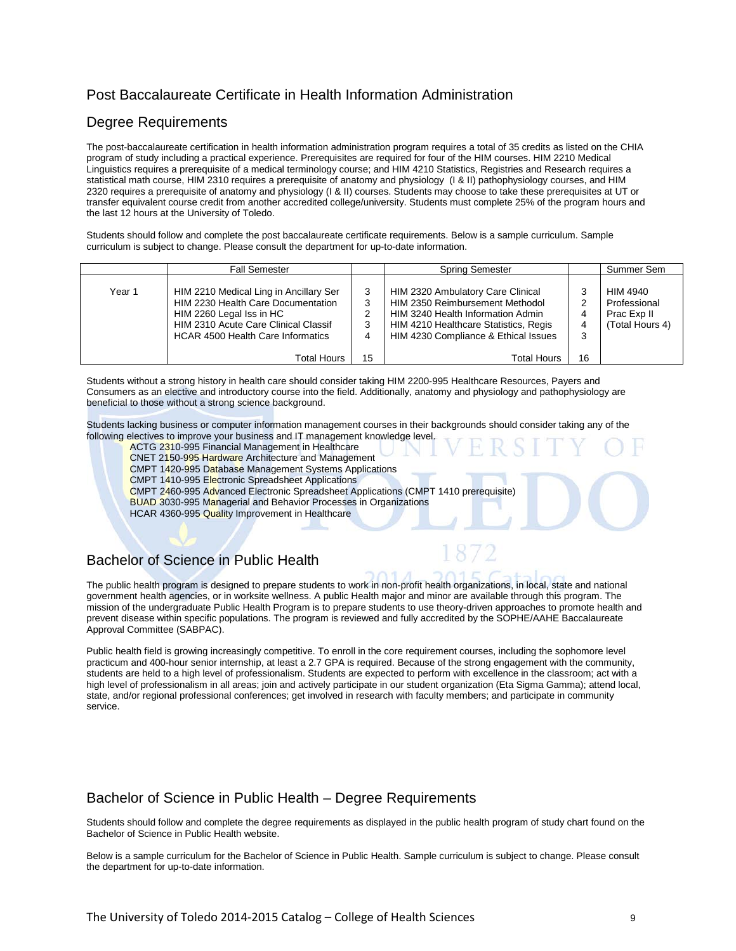# Post Baccalaureate Certificate in Health Information Administration

#### Degree Requirements

The post-baccalaureate certification in health information administration program requires a total of 35 credits as listed on the CHIA program of study including a practical experience. Prerequisites are required for four of the HIM courses. HIM 2210 Medical Linguistics requires a prerequisite of a medical terminology course; and HIM 4210 Statistics, Registries and Research requires a statistical math course, HIM 2310 requires a prerequisite of anatomy and physiology (I & II) pathophysiology courses, and HIM 2320 requires a prerequisite of anatomy and physiology (I & II) courses. Students may choose to take these prerequisites at UT or transfer equivalent course credit from another accredited college/university. Students must complete 25% of the program hours and the last 12 hours at the University of Toledo.

Students should follow and complete the post baccalaureate certificate requirements. Below is a sample curriculum. Sample curriculum is subject to change. Please consult the department for up-to-date information.

|        | <b>Fall Semester</b>                                                                                                                                                                         |                       | Spring Semester                                                                                                                                                                            |                       | Summer Sem                                                 |
|--------|----------------------------------------------------------------------------------------------------------------------------------------------------------------------------------------------|-----------------------|--------------------------------------------------------------------------------------------------------------------------------------------------------------------------------------------|-----------------------|------------------------------------------------------------|
| Year 1 | HIM 2210 Medical Ling in Ancillary Ser<br>HIM 2230 Health Care Documentation<br>HIM 2260 Legal Iss in HC<br>HIM 2310 Acute Care Clinical Classif<br><b>HCAR 4500 Health Care Informatics</b> | 3<br>3<br>っ<br>3<br>4 | HIM 2320 Ambulatory Care Clinical<br>HIM 2350 Reimbursement Methodol<br>HIM 3240 Health Information Admin<br>HIM 4210 Healthcare Statistics, Regis<br>HIM 4230 Compliance & Ethical Issues | 3<br>2<br>4<br>4<br>3 | HIM 4940<br>Professional<br>Prac Exp II<br>(Total Hours 4) |
|        | Total Hours                                                                                                                                                                                  | 15                    | <b>Total Hours</b>                                                                                                                                                                         | 16                    |                                                            |

Students without a strong history in health care should consider taking HIM 2200-995 Healthcare Resources, Payers and Consumers as an elective and introductory course into the field. Additionally, anatomy and physiology and pathophysiology are beneficial to those without a strong science background.

Students lacking business or computer information management courses in their backgrounds should consider taking any of the following electives to improve your business and IT management knowledge level.

- ACTG 2310-995 Financial Management in Healthcare
- CNET 2150-995 Hardware Architecture and Management

CMPT 1420-995 Database Management Systems Applications

- CMPT 1410-995 Electronic Spreadsheet Applications
- CMPT 2460-995 Advanced Electronic Spreadsheet Applications (CMPT 1410 prerequisite)
- BUAD 3030-995 Managerial and Behavior Processes in Organizations

HCAR 4360-995 Quality Improvement in Healthcare

# Bachelor of Science in Public Health

The public health program is designed to prepare students to work in non-profit health organizations, in local, state and national government health agencies, or in worksite wellness. A public Health major and minor are available through this program. The mission of the undergraduate Public Health Program is to prepare students to use theory-driven approaches to promote health and prevent disease within specific populations. The program is reviewed and fully accredited by the SOPHE/AAHE Baccalaureate Approval Committee (SABPAC).

Public health field is growing increasingly competitive. To enroll in the core requirement courses, including the sophomore level practicum and 400-hour senior internship, at least a 2.7 GPA is required. Because of the strong engagement with the community, students are held to a high level of professionalism. Students are expected to perform with excellence in the classroom; act with a high level of professionalism in all areas; join and actively participate in our student organization (Eta Sigma Gamma); attend local, state, and/or regional professional conferences; get involved in research with faculty members; and participate in community service.

#### Bachelor of Science in Public Health – Degree Requirements

Students should follow and complete the degree requirements as displayed in the public health program of study chart found on the Bachelor of Science in Public Health website.

Below is a sample curriculum for the Bachelor of Science in Public Health. Sample curriculum is subject to change. Please consult the department for up-to-date information.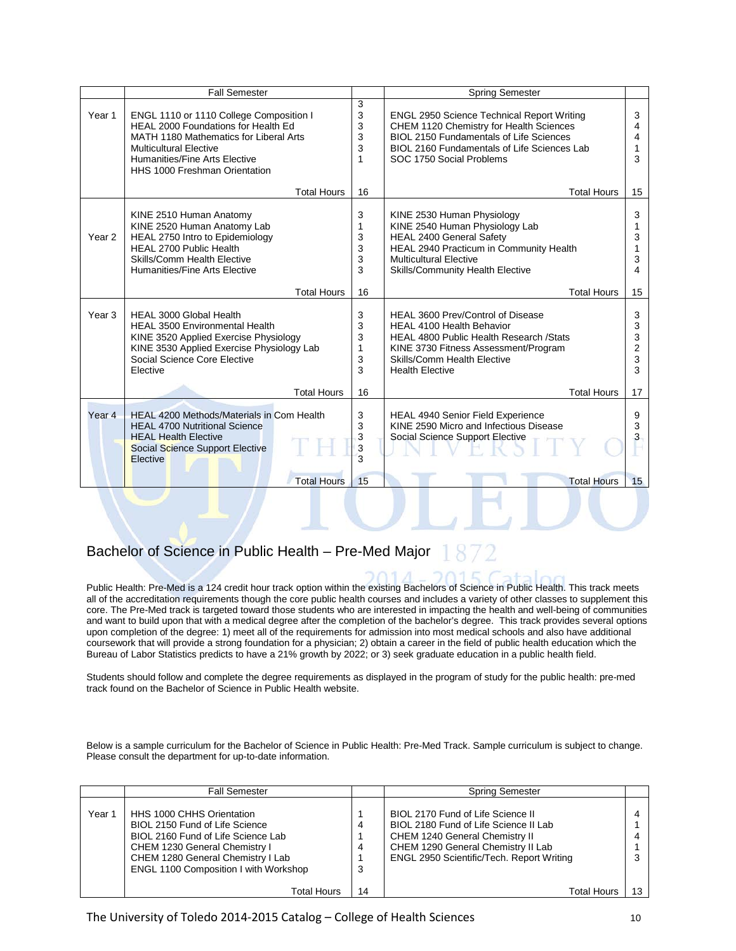|                   | <b>Fall Semester</b>                                                                                                                                                                                                        |                             | <b>Spring Semester</b>                                                                                                                                                                                                    |                                         |
|-------------------|-----------------------------------------------------------------------------------------------------------------------------------------------------------------------------------------------------------------------------|-----------------------------|---------------------------------------------------------------------------------------------------------------------------------------------------------------------------------------------------------------------------|-----------------------------------------|
| Year 1            | ENGL 1110 or 1110 College Composition I<br>HEAL 2000 Foundations for Health Ed<br>MATH 1180 Mathematics for Liberal Arts<br><b>Multicultural Elective</b><br>Humanities/Fine Arts Elective<br>HHS 1000 Freshman Orientation | 3<br>3<br>3<br>3<br>3<br>1  | <b>ENGL 2950 Science Technical Report Writing</b><br>CHEM 1120 Chemistry for Health Sciences<br><b>BIOL 2150 Fundamentals of Life Sciences</b><br>BIOL 2160 Fundamentals of Life Sciences Lab<br>SOC 1750 Social Problems | 3<br>4<br>4<br>3                        |
|                   | <b>Total Hours</b>                                                                                                                                                                                                          | 16                          | <b>Total Hours</b>                                                                                                                                                                                                        | 15                                      |
| Year <sub>2</sub> | KINE 2510 Human Anatomy<br>KINE 2520 Human Anatomy Lab<br>HEAL 2750 Intro to Epidemiology<br>HEAL 2700 Public Health<br>Skills/Comm Health Elective<br>Humanities/Fine Arts Elective                                        | 3<br>1<br>3<br>3<br>3<br>3  | KINE 2530 Human Physiology<br>KINE 2540 Human Physiology Lab<br><b>HEAL 2400 General Safety</b><br>HEAL 2940 Practicum in Community Health<br><b>Multicultural Elective</b><br>Skills/Community Health Elective           | 3<br>3<br>3<br>4                        |
|                   | <b>Total Hours</b>                                                                                                                                                                                                          | 16                          | <b>Total Hours</b>                                                                                                                                                                                                        | 15                                      |
| Year <sub>3</sub> | HEAL 3000 Global Health<br><b>HEAL 3500 Environmental Health</b><br>KINE 3520 Applied Exercise Physiology<br>KINE 3530 Applied Exercise Physiology Lab<br>Social Science Core Elective<br>Elective                          | 3<br>3<br>3<br>1<br>3<br>3  | HEAL 3600 Prev/Control of Disease<br><b>HEAL 4100 Health Behavior</b><br><b>HEAL 4800 Public Health Research /Stats</b><br>KINE 3730 Fitness Assessment/Program<br>Skills/Comm Health Elective<br><b>Health Elective</b>  | 3<br>3<br>3<br>$\overline{2}$<br>3<br>3 |
|                   | <b>Total Hours</b>                                                                                                                                                                                                          | 16                          | <b>Total Hours</b>                                                                                                                                                                                                        | 17                                      |
| Year <sub>4</sub> | <b>HEAL 4200 Methods/Materials in Com Health</b><br><b>HEAL 4700 Nutritional Science</b><br><b>HEAL Health Elective</b><br>Social Science Support Elective<br>Elective<br><b>Total Hours</b>                                | 3<br>3<br>3<br>3<br>3<br>15 | <b>HEAL 4940 Senior Field Experience</b><br>KINE 2590 Micro and Infectious Disease<br>Social Science Support Elective<br><b>Total Hours</b>                                                                               | 9<br>3<br>3<br>15                       |

#### Bachelor of Science in Public Health – Pre-Med Major

Public Health: Pre-Med is a 124 credit hour track option within the existing Bachelors of Science in Public Health. This track meets all of the accreditation requirements though the core public health courses and includes a variety of other classes to supplement this core. The Pre-Med track is targeted toward those students who are interested in impacting the health and well-being of communities and want to build upon that with a medical degree after the completion of the bachelor's degree. This track provides several options upon completion of the degree: 1) meet all of the requirements for admission into most medical schools and also have additional coursework that will provide a strong foundation for a physician; 2) obtain a career in the field of public health education which the Bureau of Labor Statistics predicts to have a 21% growth by 2022; or 3) seek graduate education in a public health field.

DAL JE, I

Students should follow and complete the degree requirements as displayed in the program of study for the public health: pre-med track found on the Bachelor of Science in Public Health website.

Below is a sample curriculum for the Bachelor of Science in Public Health: Pre-Med Track. Sample curriculum is subject to change. Please consult the department for up-to-date information.

|        | <b>Fall Semester</b>                                                                                                                                                                                                    |        | <b>Spring Semester</b>                                                                                                                                                                          |    |
|--------|-------------------------------------------------------------------------------------------------------------------------------------------------------------------------------------------------------------------------|--------|-------------------------------------------------------------------------------------------------------------------------------------------------------------------------------------------------|----|
| Year 1 | HHS 1000 CHHS Orientation<br>BIOL 2150 Fund of Life Science<br>BIOL 2160 Fund of Life Science Lab<br>CHEM 1230 General Chemistry I<br>CHEM 1280 General Chemistry I Lab<br><b>ENGL 1100 Composition I with Workshop</b> | 4<br>3 | BIOL 2170 Fund of Life Science II<br>BIOL 2180 Fund of Life Science II Lab<br>CHEM 1240 General Chemistry II<br>CHEM 1290 General Chemistry II Lab<br>ENGL 2950 Scientific/Tech. Report Writing |    |
|        | <b>Total Hours</b>                                                                                                                                                                                                      | 14     | Total Hours                                                                                                                                                                                     | 13 |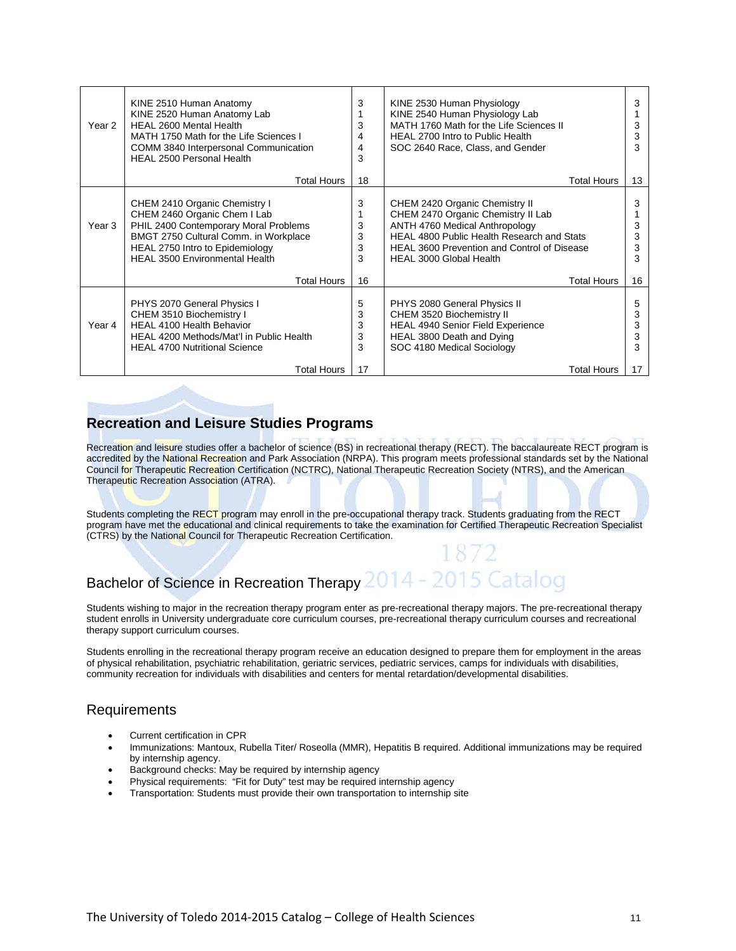| Year 2 | KINE 2510 Human Anatomy<br>KINE 2520 Human Anatomy Lab<br>HEAL 2600 Mental Health<br>MATH 1750 Math for the Life Sciences I<br>COMM 3840 Interpersonal Communication<br><b>HEAL 2500 Personal Health</b>                    | 3<br>3<br>4<br>4<br>3 | KINE 2530 Human Physiology<br>KINE 2540 Human Physiology Lab<br>MATH 1760 Math for the Life Sciences II<br>HEAL 2700 Intro to Public Health<br>SOC 2640 Race, Class, and Gender                                                              | 3<br>3<br>3<br>3      |
|--------|-----------------------------------------------------------------------------------------------------------------------------------------------------------------------------------------------------------------------------|-----------------------|----------------------------------------------------------------------------------------------------------------------------------------------------------------------------------------------------------------------------------------------|-----------------------|
|        | <b>Total Hours</b>                                                                                                                                                                                                          | 18                    | <b>Total Hours</b>                                                                                                                                                                                                                           | 13                    |
| Year 3 | CHEM 2410 Organic Chemistry I<br>CHEM 2460 Organic Chem I Lab<br>PHIL 2400 Contemporary Moral Problems<br>BMGT 2750 Cultural Comm. in Workplace<br>HEAL 2750 Intro to Epidemiology<br><b>HEAL 3500 Environmental Health</b> | 3<br>3<br>3<br>3<br>3 | CHEM 2420 Organic Chemistry II<br>CHEM 2470 Organic Chemistry II Lab<br>ANTH 4760 Medical Anthropology<br><b>HEAL 4800 Public Health Research and Stats</b><br><b>HEAL 3600 Prevention and Control of Disease</b><br>HEAL 3000 Global Health | 3<br>3<br>3<br>3      |
|        | <b>Total Hours</b>                                                                                                                                                                                                          | 16                    | <b>Total Hours</b>                                                                                                                                                                                                                           | 16                    |
| Year 4 | PHYS 2070 General Physics I<br>CHEM 3510 Biochemistry I<br><b>HEAL 4100 Health Behavior</b><br>HEAL 4200 Methods/Mat'l in Public Health<br><b>HEAL 4700 Nutritional Science</b>                                             | 5<br>3<br>3<br>3<br>3 | PHYS 2080 General Physics II<br>CHEM 3520 Biochemistry II<br><b>HEAL 4940 Senior Field Experience</b><br>HEAL 3800 Death and Dying<br>SOC 4180 Medical Sociology                                                                             | 5<br>3<br>3<br>3<br>3 |
|        | Total Hours                                                                                                                                                                                                                 | 17                    | Total Hours                                                                                                                                                                                                                                  | 17                    |

#### **Recreation and Leisure Studies Programs**

Recreation and leisure studies offer a bachelor of science (BS) in recreational therapy (RECT). The baccalaureate RECT program is accredited by the National Recreation and Park Association (NRPA). This program meets professional standards set by the National Council for Therapeutic Recreation Certification (NCTRC), National Therapeutic Recreation Society (NTRS), and the American Therapeutic Recreation Association (ATRA).

Students completing the RECT program may enroll in the pre-occupational therapy track. Students graduating from the RECT program have met the educational and clinical requirements to take the examination for Certified Therapeutic Recreation Specialist (CTRS) by the National Council for Therapeutic Recreation Certification.

# Bachelor of Science in Recreation Therapy 2014 - 2015 Catalog

Students wishing to major in the recreation therapy program enter as pre-recreational therapy majors. The pre-recreational therapy student enrolls in University undergraduate core curriculum courses, pre-recreational therapy curriculum courses and recreational therapy support curriculum courses.

Students enrolling in the recreational therapy program receive an education designed to prepare them for employment in the areas of physical rehabilitation, psychiatric rehabilitation, geriatric services, pediatric services, camps for individuals with disabilities, community recreation for individuals with disabilities and centers for mental retardation/developmental disabilities.

#### Requirements

- Current certification in CPR
- Immunizations: Mantoux, Rubella Titer/ Roseolla (MMR), Hepatitis B required. Additional immunizations may be required by internship agency.
- Background checks: May be required by internship agency
- Physical requirements: "Fit for Duty" test may be required internship agency
- Transportation: Students must provide their own transportation to internship site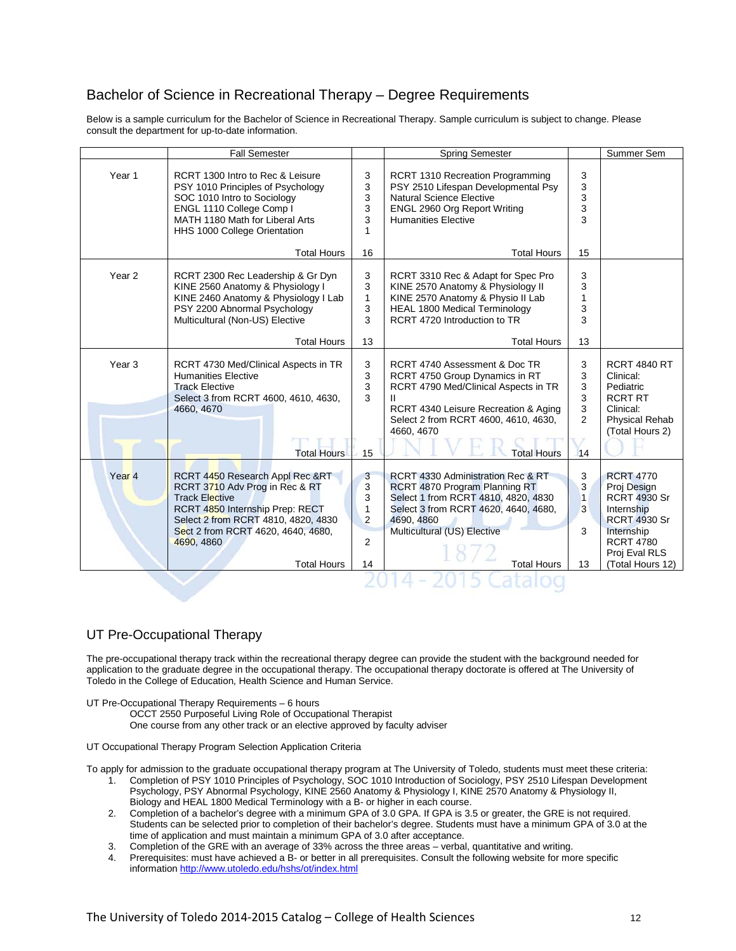### Bachelor of Science in Recreational Therapy – Degree Requirements

Below is a sample curriculum for the Bachelor of Science in Recreational Therapy. Sample curriculum is subject to change. Please consult the department for up-to-date information.

|                   | <b>Fall Semester</b>                                                                                                                                                                                                                           |                                                            | <b>Spring Semester</b>                                                                                                                                                                                                      |                                               | Summer Sem                                                                                                                                                         |
|-------------------|------------------------------------------------------------------------------------------------------------------------------------------------------------------------------------------------------------------------------------------------|------------------------------------------------------------|-----------------------------------------------------------------------------------------------------------------------------------------------------------------------------------------------------------------------------|-----------------------------------------------|--------------------------------------------------------------------------------------------------------------------------------------------------------------------|
| Year 1            | RCRT 1300 Intro to Rec & Leisure<br>PSY 1010 Principles of Psychology<br>SOC 1010 Intro to Sociology<br>ENGL 1110 College Comp I<br>MATH 1180 Math for Liberal Arts<br>HHS 1000 College Orientation                                            | 3<br>3<br>3<br>3<br>3<br>1                                 | <b>RCRT 1310 Recreation Programming</b><br>PSY 2510 Lifespan Developmental Psy<br><b>Natural Science Elective</b><br>ENGL 2960 Org Report Writing<br><b>Humanities Elective</b>                                             | 3<br>3<br>3<br>3<br>3                         |                                                                                                                                                                    |
|                   | <b>Total Hours</b>                                                                                                                                                                                                                             | 16                                                         | <b>Total Hours</b>                                                                                                                                                                                                          | 15                                            |                                                                                                                                                                    |
| Year <sub>2</sub> | RCRT 2300 Rec Leadership & Gr Dyn<br>KINE 2560 Anatomy & Physiology I<br>KINE 2460 Anatomy & Physiology I Lab<br>PSY 2200 Abnormal Psychology<br>Multicultural (Non-US) Elective                                                               | 3<br>3<br>1<br>3<br>3                                      | RCRT 3310 Rec & Adapt for Spec Pro<br>KINE 2570 Anatomy & Physiology II<br>KINE 2570 Anatomy & Physio II Lab<br><b>HEAL 1800 Medical Terminology</b><br>RCRT 4720 Introduction to TR                                        | 3<br>3<br>$\mathbf{1}$<br>3<br>3              |                                                                                                                                                                    |
|                   | <b>Total Hours</b>                                                                                                                                                                                                                             | 13                                                         | <b>Total Hours</b>                                                                                                                                                                                                          | 13                                            |                                                                                                                                                                    |
| Year <sub>3</sub> | RCRT 4730 Med/Clinical Aspects in TR<br><b>Humanities Elective</b><br><b>Track Elective</b><br>Select 3 from RCRT 4600, 4610, 4630,<br>4660, 4670<br><b>Total Hours</b>                                                                        | 3<br>3<br>3<br>3<br>15                                     | RCRT 4740 Assessment & Doc TR<br>RCRT 4750 Group Dynamics in RT<br>RCRT 4790 Med/Clinical Aspects in TR<br>RCRT 4340 Leisure Recreation & Aging<br>Select 2 from RCRT 4600, 4610, 4630,<br>4660, 4670<br><b>Total Hours</b> | 3<br>3<br>3<br>3<br>3<br>$\overline{2}$<br>14 | <b>RCRT 4840 RT</b><br>Clinical:<br>Pediatric<br><b>RCRT RT</b><br>Clinical:<br><b>Physical Rehab</b><br>(Total Hours 2)                                           |
| Year <sub>4</sub> | RCRT 4450 Research Appl Rec &RT<br>RCRT 3710 Adv Prog in Rec & RT<br><b>Track Elective</b><br>RCRT 4850 Internship Prep: RECT<br>Select 2 from RCRT 4810, 4820, 4830<br>Sect 2 from RCRT 4620, 4640, 4680,<br>4690, 4860<br><b>Total Hours</b> | 3<br>3<br>3<br>1<br>$\overline{2}$<br>$\overline{2}$<br>14 | RCRT 4330 Administration Rec & RT<br>RCRT 4870 Program Planning RT<br>Select 1 from RCRT 4810, 4820, 4830<br>Select 3 from RCRT 4620, 4640, 4680,<br>4690, 4860<br>Multicultural (US) Elective<br><b>Total Hours</b>        | 3<br>3<br>$\overline{1}$<br>3<br>3<br>13      | <b>RCRT 4770</b><br>Proj Design<br><b>RCRT 4930 Sr</b><br>Internship<br><b>RCRT 4930 Sr</b><br>Internship<br><b>RCRT 4780</b><br>Proj Eval RLS<br>(Total Hours 12) |

#### UT Pre-Occupational Therapy

The pre-occupational therapy track within the recreational therapy degree can provide the student with the background needed for application to the graduate degree in the occupational therapy. The occupational therapy doctorate is offered at The University of Toledo in the College of Education, Health Science and Human Service.

- UT Pre-Occupational Therapy Requirements 6 hours
	- OCCT 2550 Purposeful Living Role of Occupational Therapist
	- One course from any other track or an elective approved by faculty adviser

UT Occupational Therapy Program Selection Application Criteria

To apply for admission to the graduate occupational therapy program at The University of Toledo, students must meet these criteria:

- 1. Completion of PSY 1010 Principles of Psychology, SOC 1010 Introduction of Sociology, PSY 2510 Lifespan Development Psychology, PSY Abnormal Psychology, KINE 2560 Anatomy & Physiology I, KINE 2570 Anatomy & Physiology II, Biology and HEAL 1800 Medical Terminology with a B- or higher in each course.
- 2. Completion of a bachelor's degree with a minimum GPA of 3.0 GPA. If GPA is 3.5 or greater, the GRE is not required. Students can be selected prior to completion of their bachelor's degree. Students must have a minimum GPA of 3.0 at the time of application and must maintain a minimum GPA of 3.0 after acceptance.
- 3. Completion of the GRE with an average of 33% across the three areas verbal, quantitative and writing.
- 4. Prerequisites: must have achieved a B- or better in all prerequisites. Consult the following website for more specific information<http://www.utoledo.edu/hshs/ot/index.html>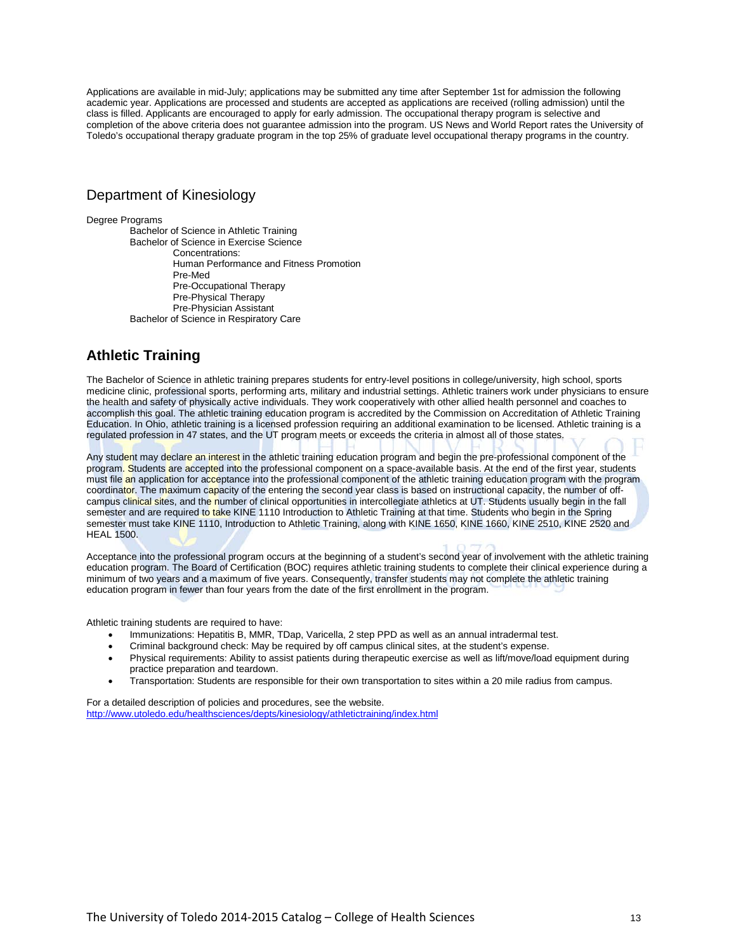Applications are available in mid-July; applications may be submitted any time after September 1st for admission the following academic year. Applications are processed and students are accepted as applications are received (rolling admission) until the class is filled. Applicants are encouraged to apply for early admission. The occupational therapy program is selective and completion of the above criteria does not guarantee admission into the program. US News and World Report rates the University of Toledo's occupational therapy graduate program in the top 25% of graduate level occupational therapy programs in the country.

#### Department of Kinesiology

Degree Programs

Bachelor of Science in Athletic Training Bachelor of Science in Exercise Science Concentrations: Human Performance and Fitness Promotion Pre-Med Pre-Occupational Therapy Pre-Physical Therapy Pre-Physician Assistant Bachelor of Science in Respiratory Care

# **Athletic Training**

The Bachelor of Science in athletic training prepares students for entry-level positions in college/university, high school, sports medicine clinic, professional sports, performing arts, military and industrial settings. Athletic trainers work under physicians to ensure the health and safety of physically active individuals. They work cooperatively with other allied health personnel and coaches to accomplish this goal. The athletic training education program is accredited by the Commission on Accreditation of Athletic Training Education. In Ohio, athletic training is a licensed profession requiring an additional examination to be licensed. Athletic training is a regulated profession in 47 states, and the UT program meets or exceeds the criteria in almost all of those states.

Any student may declare an interest in the athletic training education program and begin the pre-professional component of the program. Students are accepted into the professional component on a space-available basis. At the end of the first year, students must file an application for acceptance into the professional component of the athletic training education program with the program coordinator. The maximum capacity of the entering the second year class is based on instructional capacity, the number of offcampus clinical sites, and the number of clinical opportunities in intercollegiate athletics at UT. Students usually begin in the fall semester and are required to take KINE 1110 Introduction to Athletic Training at that time. Students who begin in the Spring semester must take KINE 1110, Introduction to Athletic Training, along with KINE 1650, KINE 1660, KINE 2510, KINE 2520 and HEAL 1500.

Acceptance into the professional program occurs at the beginning of a student's second year of involvement with the athletic training education program. The Board of Certification (BOC) requires athletic training students to complete their clinical experience during a minimum of two years and a maximum of five years. Consequently, transfer students may not complete the athletic training education program in fewer than four years from the date of the first enrollment in the program.

Athletic training students are required to have:

- Immunizations: Hepatitis B, MMR, TDap, Varicella, 2 step PPD as well as an annual intradermal test.
- Criminal background check: May be required by off campus clinical sites, at the student's expense.
- Physical requirements: Ability to assist patients during therapeutic exercise as well as lift/move/load equipment during practice preparation and teardown.
- Transportation: Students are responsible for their own transportation to sites within a 20 mile radius from campus.

For a detailed description of policies and procedures, see the website. <http://www.utoledo.edu/healthsciences/depts/kinesiology/athletictraining/index.html>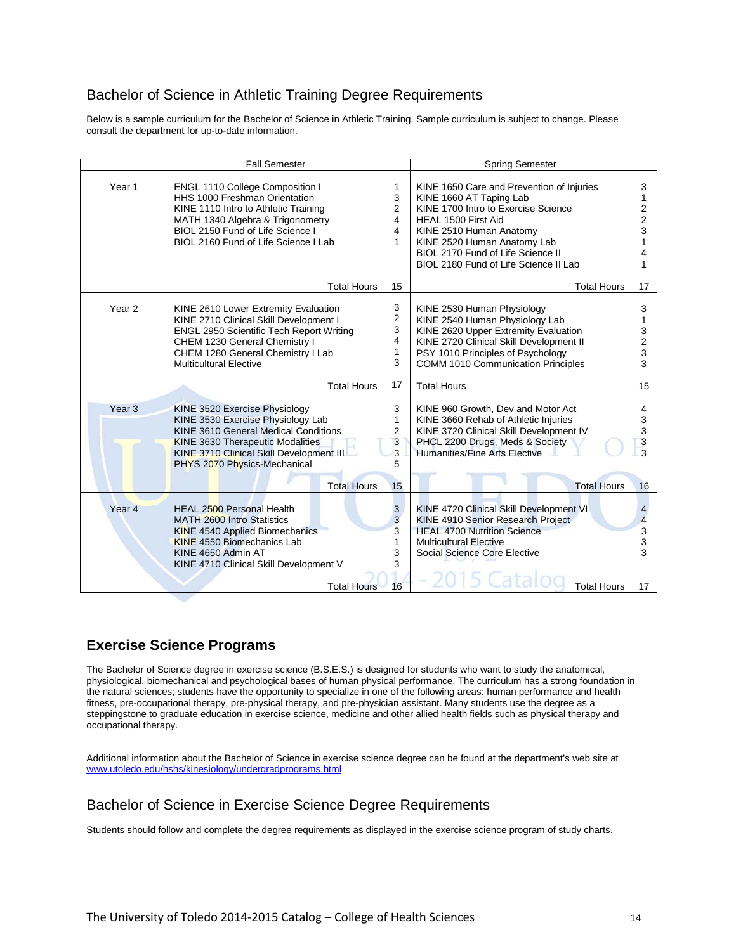#### Bachelor of Science in Athletic Training Degree Requirements

Below is a sample curriculum for the Bachelor of Science in Athletic Training. Sample curriculum is subject to change. Please consult the department for up-to-date information.

|                   | <b>Fall Semester</b>                                                                                                                                                                                                                     |                                       | <b>Spring Semester</b>                                                                                                                                                                                                                                                     |                                                   |
|-------------------|------------------------------------------------------------------------------------------------------------------------------------------------------------------------------------------------------------------------------------------|---------------------------------------|----------------------------------------------------------------------------------------------------------------------------------------------------------------------------------------------------------------------------------------------------------------------------|---------------------------------------------------|
| Year 1            | ENGL 1110 College Composition I<br>HHS 1000 Freshman Orientation<br>KINE 1110 Intro to Athletic Training<br>MATH 1340 Algebra & Trigonometry<br>BIOL 2150 Fund of Life Science I<br>BIOL 2160 Fund of Life Science I Lab                 | 1<br>3<br>2<br>4<br>4<br>1            | KINE 1650 Care and Prevention of Injuries<br>KINE 1660 AT Taping Lab<br>KINE 1700 Intro to Exercise Science<br>HEAL 1500 First Aid<br>KINE 2510 Human Anatomy<br>KINE 2520 Human Anatomy Lab<br>BIOL 2170 Fund of Life Science II<br>BIOL 2180 Fund of Life Science II Lab | 3<br>1<br>2<br>2<br>3<br>1                        |
|                   | <b>Total Hours</b>                                                                                                                                                                                                                       | 15                                    | <b>Total Hours</b>                                                                                                                                                                                                                                                         | 17                                                |
| Year 2            | KINE 2610 Lower Extremity Evaluation<br>KINE 2710 Clinical Skill Development I<br><b>ENGL 2950 Scientific Tech Report Writing</b><br>CHEM 1230 General Chemistry I<br>CHEM 1280 General Chemistry I Lab<br><b>Multicultural Elective</b> | 3<br>2<br>3<br>4<br>$\mathbf{1}$<br>3 | KINE 2530 Human Physiology<br>KINE 2540 Human Physiology Lab<br>KINE 2620 Upper Extremity Evaluation<br>KINE 2720 Clinical Skill Development II<br>PSY 1010 Principles of Psychology<br><b>COMM 1010 Communication Principles</b>                                          | 3<br>1<br>3<br>2<br>3<br>3                        |
|                   | <b>Total Hours</b>                                                                                                                                                                                                                       | 17                                    | <b>Total Hours</b>                                                                                                                                                                                                                                                         | 15                                                |
| Year <sub>3</sub> | KINE 3520 Exercise Physiology<br>KINE 3530 Exercise Physiology Lab<br>KINE 3610 General Medical Conditions<br><b>KINE 3630 Therapeutic Modalities</b><br>KINE 3710 Clinical Skill Development III<br>PHYS 2070 Physics-Mechanical        | 3<br>$\mathbf{1}$<br>2<br>3<br>3<br>5 | KINE 960 Growth. Dev and Motor Act<br>KINE 3660 Rehab of Athletic Injuries<br>KINE 3720 Clinical Skill Development IV<br>PHCL 2200 Drugs, Meds & Society<br>Humanities/Fine Arts Elective                                                                                  | 4<br>3<br>3<br>3<br>3                             |
|                   | <b>Total Hours</b>                                                                                                                                                                                                                       | 15                                    | <b>Total Hours</b>                                                                                                                                                                                                                                                         | 16                                                |
| Year <sub>4</sub> | HEAL 2500 Personal Health<br><b>MATH 2600 Intro Statistics</b><br><b>KINE 4540 Applied Biomechanics</b><br><b>KINE 4550 Biomechanics Lab</b><br>KINE 4650 Admin AT<br>KINE 4710 Clinical Skill Development V<br><b>Total Hours</b>       | 3<br>3<br>3<br>1<br>3<br>3<br>16      | KINE 4720 Clinical Skill Development VI<br>KINE 4910 Senior Research Project<br><b>HEAL 4700 Nutrition Science</b><br><b>Multicultural Elective</b><br>Social Science Core Elective<br><b>Total Hours</b>                                                                  | 4<br>$\overline{\mathbf{A}}$<br>3<br>3<br>3<br>17 |

#### **Exercise Science Programs**

The Bachelor of Science degree in exercise science (B.S.E.S.) is designed for students who want to study the anatomical, physiological, biomechanical and psychological bases of human physical performance. The curriculum has a strong foundation in the natural sciences; students have the opportunity to specialize in one of the following areas: human performance and health fitness, pre-occupational therapy, pre-physical therapy, and pre-physician assistant. Many students use the degree as a steppingstone to graduate education in exercise science, medicine and other allied health fields such as physical therapy and occupational therapy.

Additional information about the Bachelor of Science in exercise science degree can be found at the department's web site at [www.utoledo.edu/hshs/kinesiology/undergradprograms.html](http://www.utoledo.edu/hshs/kinesiology/undergradprograms.html)

#### Bachelor of Science in Exercise Science Degree Requirements

Students should follow and complete the degree requirements as displayed in the exercise science program of study charts.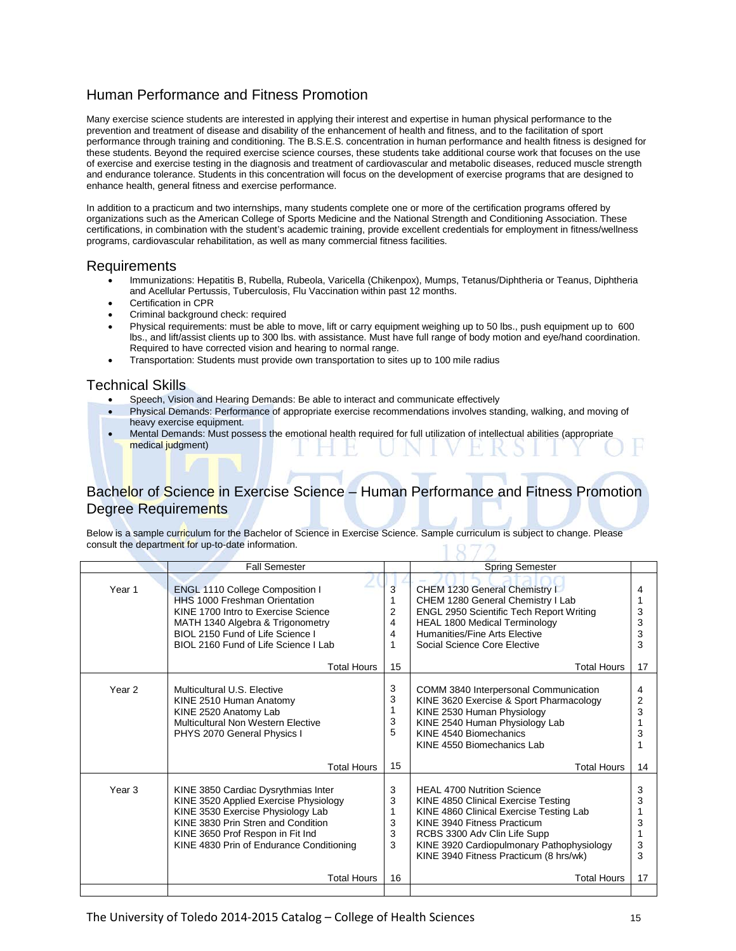## Human Performance and Fitness Promotion

Many exercise science students are interested in applying their interest and expertise in human physical performance to the prevention and treatment of disease and disability of the enhancement of health and fitness, and to the facilitation of sport performance through training and conditioning. The B.S.E.S. concentration in human performance and health fitness is designed for these students. Beyond the required exercise science courses, these students take additional course work that focuses on the use of exercise and exercise testing in the diagnosis and treatment of cardiovascular and metabolic diseases, reduced muscle strength and endurance tolerance. Students in this concentration will focus on the development of exercise programs that are designed to enhance health, general fitness and exercise performance.

In addition to a practicum and two internships, many students complete one or more of the certification programs offered by organizations such as the American College of Sports Medicine and the National Strength and Conditioning Association. These certifications, in combination with the student's academic training, provide excellent credentials for employment in fitness/wellness programs, cardiovascular rehabilitation, as well as many commercial fitness facilities.

#### Requirements

- Immunizations: Hepatitis B, Rubella, Rubeola, Varicella (Chikenpox), Mumps, Tetanus/Diphtheria or Teanus, Diphtheria and Acellular Pertussis, Tuberculosis, Flu Vaccination within past 12 months.
- Certification in CPR
- Criminal background check: required
- Physical requirements: must be able to move, lift or carry equipment weighing up to 50 lbs., push equipment up to 600 lbs., and lift/assist clients up to 300 lbs. with assistance. Must have full range of body motion and eye/hand coordination. Required to have corrected vision and hearing to normal range.
- Transportation: Students must provide own transportation to sites up to 100 mile radius

#### Technical Skills

- Speech, Vision and Hearing Demands: Be able to interact and communicate effectively
- Physical Demands: Performance of appropriate exercise recommendations involves standing, walking, and moving of heavy exercise equipment.
- Mental Demands: Must possess the emotional health required for full utilization of intellectual abilities (appropriate medical judgment)

#### Bachelor of Science in Exercise Science – Human Performance and Fitness Promotion Degree Requirements

Below is a sample curriculum for the Bachelor of Science in Exercise Science. Sample curriculum is subject to change. Please consult the department for up-to-date information. 1870

|                   | <b>Fall Semester</b>                                                                                                                                                                                                                                   |                                    | <b>Spring Semester</b>                                                                                                                                                                                                                                                                           |                                  |
|-------------------|--------------------------------------------------------------------------------------------------------------------------------------------------------------------------------------------------------------------------------------------------------|------------------------------------|--------------------------------------------------------------------------------------------------------------------------------------------------------------------------------------------------------------------------------------------------------------------------------------------------|----------------------------------|
| Year <sub>1</sub> | <b>ENGL 1110 College Composition I</b><br><b>HHS 1000 Freshman Orientation</b><br>KINE 1700 Intro to Exercise Science<br>MATH 1340 Algebra & Trigonometry<br>BIOL 2150 Fund of Life Science I<br>BIOL 2160 Fund of Life Science I Lab                  | 3<br>$\overline{2}$<br>4<br>4<br>1 | CHEM 1230 General Chemistry I<br>CHEM 1280 General Chemistry I Lab<br><b>ENGL 2950 Scientific Tech Report Writing</b><br><b>HEAL 1800 Medical Terminology</b><br>Humanities/Fine Arts Elective<br>Social Science Core Elective                                                                   | 4<br>3<br>3<br>3<br>3            |
|                   | <b>Total Hours</b>                                                                                                                                                                                                                                     | 15                                 | <b>Total Hours</b>                                                                                                                                                                                                                                                                               | 17                               |
| Year <sub>2</sub> | Multicultural U.S. Elective<br>KINE 2510 Human Anatomy<br>KINE 2520 Anatomy Lab<br>Multicultural Non Western Elective<br>PHYS 2070 General Physics I                                                                                                   | 3<br>3<br>3<br>5                   | COMM 3840 Interpersonal Communication<br>KINE 3620 Exercise & Sport Pharmacology<br>KINE 2530 Human Physiology<br>KINE 2540 Human Physiology Lab<br>KINF 4540 Biomechanics<br>KINE 4550 Biomechanics Lab                                                                                         | 4<br>2<br>3<br>3                 |
|                   | <b>Total Hours</b>                                                                                                                                                                                                                                     | 15                                 | <b>Total Hours</b>                                                                                                                                                                                                                                                                               | 14                               |
| Year <sub>3</sub> | KINE 3850 Cardiac Dysrythmias Inter<br>KINE 3520 Applied Exercise Physiology<br>KINE 3530 Exercise Physiology Lab<br>KINE 3830 Prin Stren and Condition<br>KINE 3650 Prof Respon in Fit Ind<br>KINE 4830 Prin of Endurance Conditioning<br>Total Hours | 3<br>3<br>1<br>3<br>3<br>3<br>16   | <b>HEAL 4700 Nutrition Science</b><br>KINE 4850 Clinical Exercise Testing<br>KINE 4860 Clinical Exercise Testing Lab<br>KINE 3940 Fitness Practicum<br>RCBS 3300 Adv Clin Life Supp<br>KINE 3920 Cardiopulmonary Pathophysiology<br>KINE 3940 Fitness Practicum (8 hrs/wk)<br><b>Total Hours</b> | 3<br>3<br>3<br>1<br>3<br>3<br>17 |
|                   |                                                                                                                                                                                                                                                        |                                    |                                                                                                                                                                                                                                                                                                  |                                  |
|                   |                                                                                                                                                                                                                                                        |                                    |                                                                                                                                                                                                                                                                                                  |                                  |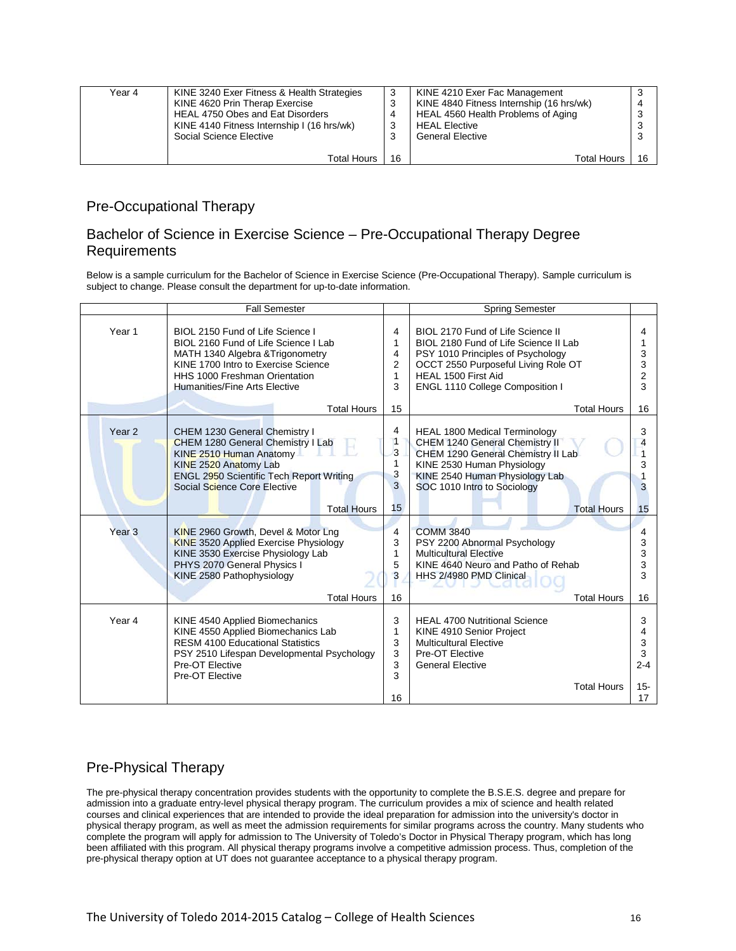| Year 4 | KINE 3240 Exer Fitness & Health Strategies | -3     | KINE 4210 Exer Fac Management            | 3  |
|--------|--------------------------------------------|--------|------------------------------------------|----|
|        | KINE 4620 Prin Therap Exercise             | J      | KINE 4840 Fitness Internship (16 hrs/wk) | 4  |
|        | HEAL 4750 Obes and Eat Disorders           | 4      | HEAL 4560 Health Problems of Aging       | 3  |
|        | KINE 4140 Fitness Internship I (16 hrs/wk) | 3      | <b>HEAL Elective</b>                     | 3  |
|        | Social Science Elective                    | ີ<br>w | <b>General Elective</b>                  | 3  |
|        |                                            |        |                                          |    |
|        | Total Hours                                | -16    | <b>Total Hours</b>                       | 16 |

#### Pre-Occupational Therapy

#### Bachelor of Science in Exercise Science – Pre-Occupational Therapy Degree **Requirements**

Below is a sample curriculum for the Bachelor of Science in Exercise Science (Pre-Occupational Therapy). Sample curriculum is subject to change. Please consult the department for up-to-date information.

|                   | <b>Fall Semester</b>                                                                                                                                                                                                                               |                                  | <b>Spring Semester</b>                                                                                                                                                                                                                 |                                                        |
|-------------------|----------------------------------------------------------------------------------------------------------------------------------------------------------------------------------------------------------------------------------------------------|----------------------------------|----------------------------------------------------------------------------------------------------------------------------------------------------------------------------------------------------------------------------------------|--------------------------------------------------------|
| Year 1            | BIOL 2150 Fund of Life Science I<br>BIOL 2160 Fund of Life Science I Lab<br>MATH 1340 Algebra & Trigonometry<br>KINE 1700 Intro to Exercise Science<br>HHS 1000 Freshman Orientation<br><b>Humanities/Fine Arts Elective</b><br><b>Total Hours</b> | 4<br>1<br>4<br>2<br>1<br>3<br>15 | BIOL 2170 Fund of Life Science II<br>BIOL 2180 Fund of Life Science II Lab<br>PSY 1010 Principles of Psychology<br>OCCT 2550 Purposeful Living Role OT<br>HEAL 1500 First Aid<br>ENGL 1110 College Composition I<br><b>Total Hours</b> | 4<br>1<br>3<br>3<br>$\overline{\mathbf{c}}$<br>3<br>16 |
| Year <sub>2</sub> | CHEM 1230 General Chemistry I<br>CHEM 1280 General Chemistry I Lab<br>KINE 2510 Human Anatomy<br>KINE 2520 Anatomy Lab<br>ENGL 2950 Scientific Tech Report Writing<br>Social Science Core Elective<br><b>Total Hours</b>                           | 4<br>1<br>3<br>3<br>3<br>15      | <b>HEAL 1800 Medical Terminology</b><br>CHEM 1240 General Chemistry II<br>CHEM 1290 General Chemistry II Lab<br>KINE 2530 Human Physiology<br>KINE 2540 Human Physiology Lab<br>SOC 1010 Intro to Sociology<br><b>Total Hours</b>      | 3<br>$\overline{4}$<br>1<br>3<br>3<br>15               |
| Year <sub>3</sub> | KINE 2960 Growth, Devel & Motor Lng<br><b>KINE 3520 Applied Exercise Physiology</b><br>KINE 3530 Exercise Physiology Lab<br>PHYS 2070 General Physics I<br>KINE 2580 Pathophysiology<br><b>Total Hours</b>                                         | 4<br>3<br>1<br>5<br>3<br>16      | <b>COMM 3840</b><br>PSY 2200-Abnormal Psychology<br><b>Multicultural Elective</b><br>KINE 4640 Neuro and Patho of Rehab<br>HHS 2/4980 PMD Clinical<br><b>Total Hours</b>                                                               | 4<br>3<br>3<br>3<br>3<br>16                            |
| Year 4            | KINE 4540 Applied Biomechanics<br>KINE 4550 Applied Biomechanics Lab<br><b>RESM 4100 Educational Statistics</b><br>PSY 2510 Lifespan Developmental Psychology<br>Pre-OT Elective<br>Pre-OT Elective                                                | 3<br>1<br>3<br>3<br>3<br>3<br>16 | <b>HEAL 4700 Nutritional Science</b><br>KINE 4910 Senior Project<br><b>Multicultural Elective</b><br>Pre-OT Elective<br><b>General Elective</b><br><b>Total Hours</b>                                                                  | 3<br>4<br>3<br>$\mathbf{3}$<br>$2 - 4$<br>$15 -$<br>17 |

# Pre-Physical Therapy

The pre-physical therapy concentration provides students with the opportunity to complete the B.S.E.S. degree and prepare for admission into a graduate entry-level physical therapy program. The curriculum provides a mix of science and health related courses and clinical experiences that are intended to provide the ideal preparation for admission into the university's doctor in physical therapy program, as well as meet the admission requirements for similar programs across the country. Many students who complete the program will apply for admission to The University of Toledo's Doctor in Physical Therapy program, which has long been affiliated with this program. All physical therapy programs involve a competitive admission process. Thus, completion of the pre-physical therapy option at UT does not guarantee acceptance to a physical therapy program.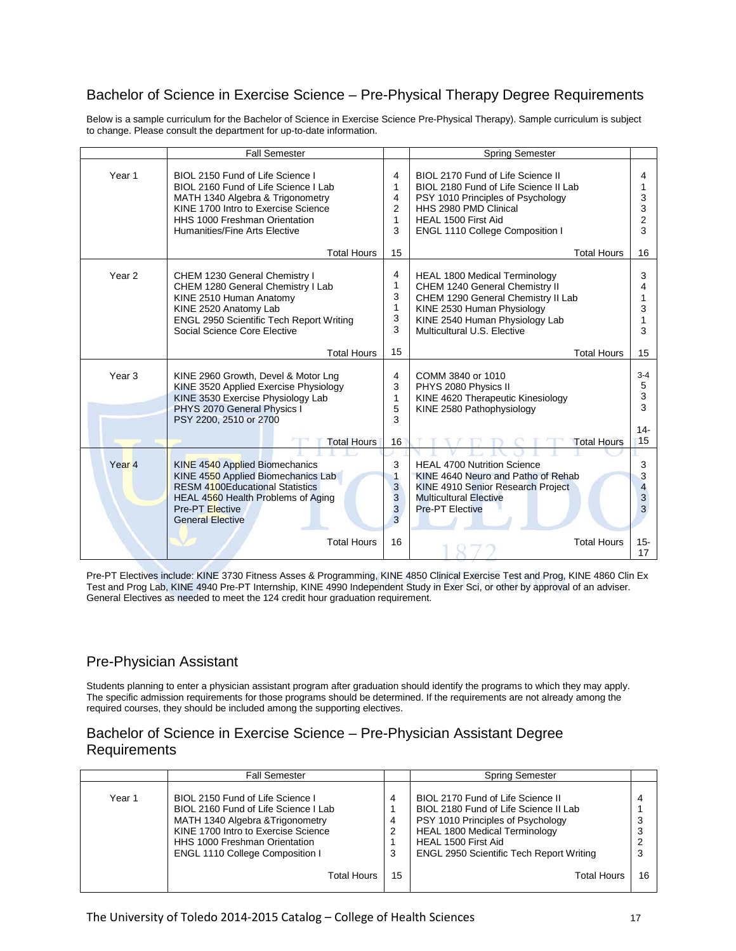### Bachelor of Science in Exercise Science – Pre-Physical Therapy Degree Requirements

Below is a sample curriculum for the Bachelor of Science in Exercise Science Pre-Physical Therapy). Sample curriculum is subject to change. Please consult the department for up-to-date information.

|                   | <b>Fall Semester</b>                                                                                                                                                                                                  |                            | <b>Spring Semester</b>                                                                                                                                                                                      |                                                       |
|-------------------|-----------------------------------------------------------------------------------------------------------------------------------------------------------------------------------------------------------------------|----------------------------|-------------------------------------------------------------------------------------------------------------------------------------------------------------------------------------------------------------|-------------------------------------------------------|
| Year 1            | BIOL 2150 Fund of Life Science I<br>BIOL 2160 Fund of Life Science I Lab<br>MATH 1340 Algebra & Trigonometry<br>KINE 1700 Intro to Exercise Science<br>HHS 1000 Freshman Orientation<br>Humanities/Fine Arts Elective |                            | BIOL 2170 Fund of Life Science II<br>BIOL 2180 Fund of Life Science II Lab<br>PSY 1010 Principles of Psychology<br>HHS 2980 PMD Clinical<br>HEAL 1500 First Aid<br>ENGL 1110 College Composition I          | 4<br>1<br>3<br>3<br>$\overline{2}$<br>3               |
|                   | <b>Total Hours</b>                                                                                                                                                                                                    | 15                         | <b>Total Hours</b>                                                                                                                                                                                          | 16                                                    |
| Year <sub>2</sub> | CHEM 1230 General Chemistry I<br>CHEM 1280 General Chemistry I Lab<br>KINE 2510 Human Anatomy<br>KINE 2520 Anatomy Lab<br>ENGL 2950 Scientific Tech Report Writing<br>Social Science Core Elective                    |                            | <b>HEAL 1800 Medical Terminology</b><br>CHEM 1240 General Chemistry II<br>CHEM 1290 General Chemistry II Lab<br>KINE 2530 Human Physiology<br>KINE 2540 Human Physiology Lab<br>Multicultural U.S. Elective | 3<br>4<br>1<br>3<br>1<br>3                            |
|                   | <b>Total Hours</b>                                                                                                                                                                                                    | 15                         | <b>Total Hours</b>                                                                                                                                                                                          | 15                                                    |
| Year <sub>3</sub> | KINE 2960 Growth, Devel & Motor Lng<br>KINE 3520 Applied Exercise Physiology<br>KINE 3530 Exercise Physiology Lab<br>PHYS 2070 General Physics I<br>PSY 2200, 2510 or 2700                                            |                            | COMM 3840 or 1010<br>PHYS 2080 Physics II<br>KINE 4620 Therapeutic Kinesiology<br>KINE 2580 Pathophysiology                                                                                                 | $3 - 4$<br>5<br>3<br>3                                |
|                   | <b>Total Hours</b>                                                                                                                                                                                                    | 16                         | <b>Total Hours</b>                                                                                                                                                                                          | $14 -$<br>15                                          |
| Year <sub>4</sub> | KINE 4540 Applied Biomechanics<br>KINE 4550 Applied Biomechanics Lab<br><b>RESM 4100Educational Statistics</b><br>HEAL 4560 Health Problems of Aging<br><b>Pre-PT</b> Elective<br><b>General Elective</b>             | 3<br>1<br>3<br>3<br>3<br>3 | <b>HEAL 4700 Nutrition Science</b><br>KINE 4640 Neuro and Patho of Rehab<br>KINE 4910 Senior Research Project<br><b>Multicultural Elective</b><br><b>Pre-PT Elective</b>                                    | 3<br>3<br>$\overline{\mathbf{4}}$<br>$\mathsf 3$<br>3 |
|                   | <b>Total Hours</b>                                                                                                                                                                                                    | 16                         | <b>Total Hours</b>                                                                                                                                                                                          | $15 -$<br>17                                          |

Pre-PT Electives include: KINE 3730 Fitness Asses & Programming, KINE 4850 Clinical Exercise Test and Prog, KINE 4860 Clin Ex Test and Prog Lab, KINE 4940 Pre-PT Internship, KINE 4990 Independent Study in Exer Sci, or other by approval of an adviser. General Electives as needed to meet the 124 credit hour graduation requirement.

#### Pre-Physician Assistant

Students planning to enter a physician assistant program after graduation should identify the programs to which they may apply. The specific admission requirements for those programs should be determined. If the requirements are not already among the required courses, they should be included among the supporting electives.

#### Bachelor of Science in Exercise Science – Pre-Physician Assistant Degree **Requirements**

|        | <b>Fall Semester</b>                                                                                                                                                                                                                  |                  | <b>Spring Semester</b>                                                                                                                                                                                                            |        |
|--------|---------------------------------------------------------------------------------------------------------------------------------------------------------------------------------------------------------------------------------------|------------------|-----------------------------------------------------------------------------------------------------------------------------------------------------------------------------------------------------------------------------------|--------|
| Year 1 | BIOL 2150 Fund of Life Science I<br>BIOL 2160 Fund of Life Science I Lab<br>MATH 1340 Algebra & Trigonometry<br>KINE 1700 Intro to Exercise Science<br><b>HHS 1000 Freshman Orientation</b><br><b>ENGL 1110 College Composition I</b> | 4<br>4<br>2<br>3 | BIOL 2170 Fund of Life Science II<br>BIOL 2180 Fund of Life Science II Lab<br>PSY 1010 Principles of Psychology<br><b>HEAL 1800 Medical Terminology</b><br>HEAL 1500 First Aid<br><b>ENGL 2950 Scientific Tech Report Writing</b> | 4<br>3 |
|        | Total Hours                                                                                                                                                                                                                           | 15               | Total Hours                                                                                                                                                                                                                       | 16     |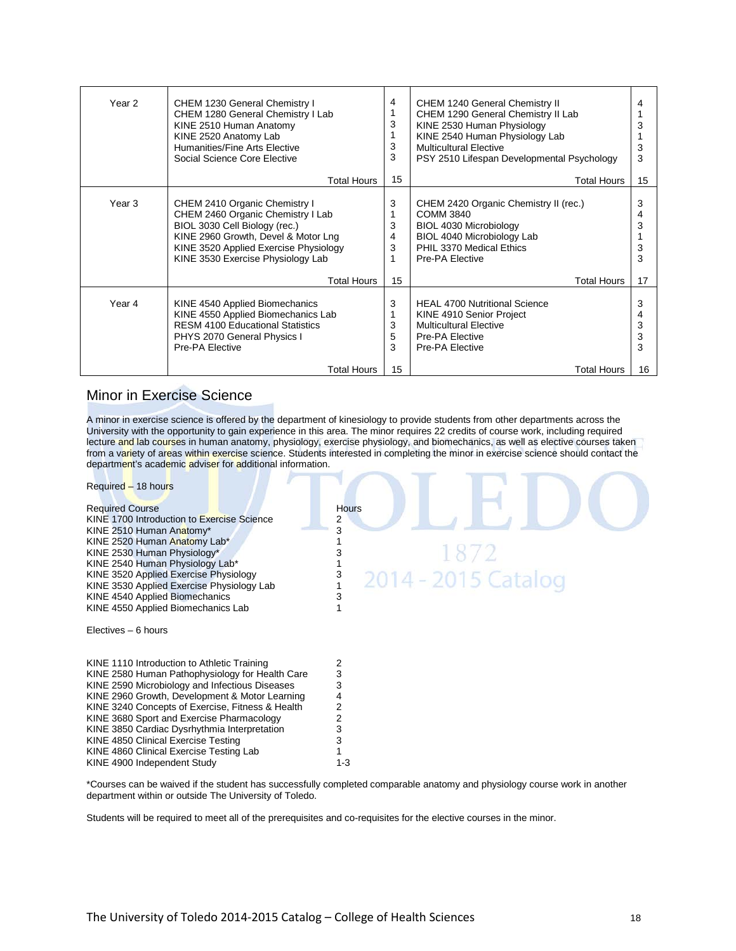| Year 2 | CHEM 1230 General Chemistry I<br>CHEM 1280 General Chemistry I Lab<br>KINE 2510 Human Anatomy<br>KINE 2520 Anatomy Lab<br>Humanities/Fine Arts Elective<br>Social Science Core Elective<br>Total Hours                   | 4<br>3<br>3<br>3<br>15       | CHEM 1240 General Chemistry II<br>CHEM 1290 General Chemistry II Lab<br>KINE 2530 Human Physiology<br>KINE 2540 Human Physiology Lab<br><b>Multicultural Elective</b><br>PSY 2510 Lifespan Developmental Psychology<br>Total Hours |                              |
|--------|--------------------------------------------------------------------------------------------------------------------------------------------------------------------------------------------------------------------------|------------------------------|------------------------------------------------------------------------------------------------------------------------------------------------------------------------------------------------------------------------------------|------------------------------|
| Year 3 | CHEM 2410 Organic Chemistry I<br>CHEM 2460 Organic Chemistry I Lab<br>BIOL 3030 Cell Biology (rec.)<br>KINE 2960 Growth, Devel & Motor Lng<br>KINE 3520 Applied Exercise Physiology<br>KINE 3530 Exercise Physiology Lab | 3<br>3<br>4<br>3<br>1        | CHEM 2420 Organic Chemistry II (rec.)<br><b>COMM 3840</b><br>BIOL 4030 Microbiology<br>BIOL 4040 Microbiology Lab<br>PHIL 3370 Medical Ethics<br>Pre-PA Elective                                                                   | 15<br>3<br>3<br>3<br>3       |
| Year 4 | Total Hours<br>KINE 4540 Applied Biomechanics<br>KINE 4550 Applied Biomechanics Lab<br><b>RESM 4100 Educational Statistics</b><br>PHYS 2070 General Physics I<br>Pre-PA Elective<br>Total Hours                          | 15<br>3<br>3<br>5<br>3<br>15 | Total Hours<br><b>HEAL 4700 Nutritional Science</b><br>KINE 4910 Senior Project<br><b>Multicultural Elective</b><br>Pre-PA Elective<br>Pre-PA Elective<br>Total Hours                                                              | 17<br>3<br>3<br>3<br>3<br>16 |

#### Minor in Exercise Science

A minor in exercise science is offered by the department of kinesiology to provide students from other departments across the University with the opportunity to gain experience in this area. The minor requires 22 credits of course work, including required lecture and lab courses in human anatomy, physiology, exercise physiology, and biomechanics, as well as elective courses taken from a variety of areas within exercise science. Students interested in completing the minor in exercise science should contact the department's academic adviser for additional information.

| Required - 18 hours<br><b>Required Course</b><br>KINE 1700 Introduction to Exercise Science<br>KINE 2510 Human Anatomy*<br>KINE 2520 Human Anatomy Lab*<br>KINE 2530 Human Physiology*<br>KINE 2540 Human Physiology Lab*<br>KINE 3520 Applied Exercise Physiology<br>KINE 3530 Applied Exercise Physiology Lab<br>KINE 4540 Applied Biomechanics<br>KINE 4550 Applied Biomechanics Lab | <b>Hours</b><br>2<br>1872<br>2014 - 2015 Catalog |
|-----------------------------------------------------------------------------------------------------------------------------------------------------------------------------------------------------------------------------------------------------------------------------------------------------------------------------------------------------------------------------------------|--------------------------------------------------|
| Electives - 6 hours<br>KINE 1110 Introduction to Athletic Training<br>KINE 2580 Human Pathophysiology for Health Care<br>KINE 2590 Microbiology and Infectious Diseases<br>KINE 2960 Growth, Development & Motor Learning<br>KINE 3240 Concepts of Exercise, Fitness & Health                                                                                                           | 2<br>3<br>3                                      |
| KINE 3680 Sport and Exercise Pharmacology<br>KINE 3850 Cardiac Dysrhythmia Interpretation<br>KINE 4850 Clinical Exercise Testing<br>KINE 4860 Clinical Exercise Testing Lab<br>KINE 4900 Independent Study                                                                                                                                                                              | $1 - 3$                                          |

\*Courses can be waived if the student has successfully completed comparable anatomy and physiology course work in another department within or outside The University of Toledo.

Students will be required to meet all of the prerequisites and co-requisites for the elective courses in the minor.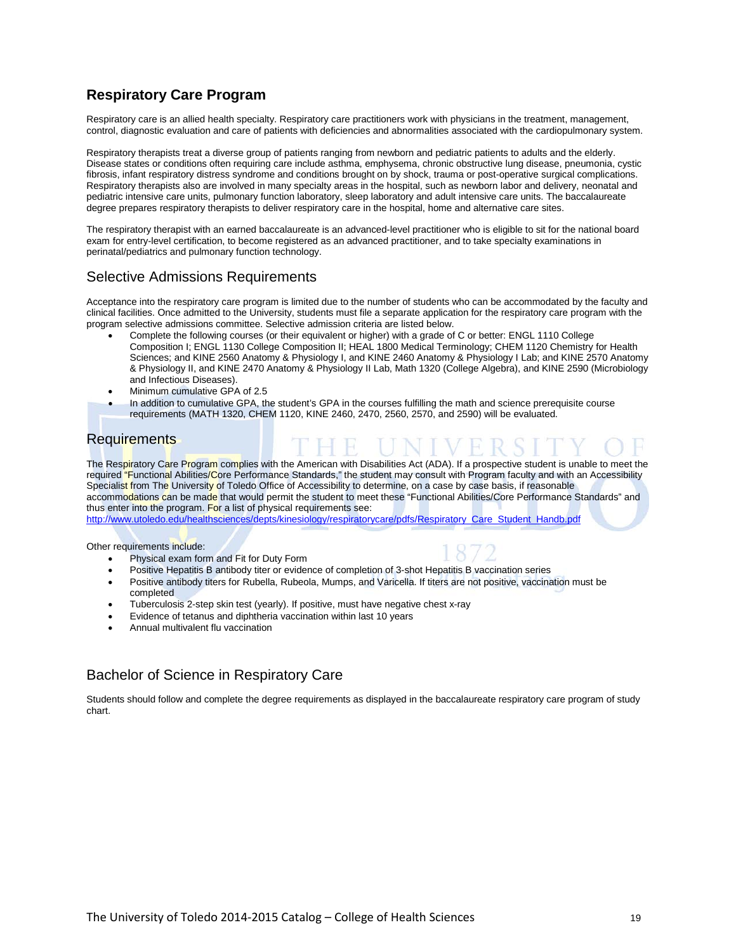# **Respiratory Care Program**

Respiratory care is an allied health specialty. Respiratory care practitioners work with physicians in the treatment, management, control, diagnostic evaluation and care of patients with deficiencies and abnormalities associated with the cardiopulmonary system.

Respiratory therapists treat a diverse group of patients ranging from newborn and pediatric patients to adults and the elderly. Disease states or conditions often requiring care include asthma, emphysema, chronic obstructive lung disease, pneumonia, cystic fibrosis, infant respiratory distress syndrome and conditions brought on by shock, trauma or post-operative surgical complications. Respiratory therapists also are involved in many specialty areas in the hospital, such as newborn labor and delivery, neonatal and pediatric intensive care units, pulmonary function laboratory, sleep laboratory and adult intensive care units. The baccalaureate degree prepares respiratory therapists to deliver respiratory care in the hospital, home and alternative care sites.

The respiratory therapist with an earned baccalaureate is an advanced-level practitioner who is eligible to sit for the national board exam for entry-level certification, to become registered as an advanced practitioner, and to take specialty examinations in perinatal/pediatrics and pulmonary function technology.

#### Selective Admissions Requirements

Acceptance into the respiratory care program is limited due to the number of students who can be accommodated by the faculty and clinical facilities. Once admitted to the University, students must file a separate application for the respiratory care program with the program selective admissions committee. Selective admission criteria are listed below.

- Complete the following courses (or their equivalent or higher) with a grade of C or better: ENGL 1110 College Composition I; ENGL 1130 College Composition II; HEAL 1800 Medical Terminology; CHEM 1120 Chemistry for Health Sciences; and KINE 2560 Anatomy & Physiology I, and KINE 2460 Anatomy & Physiology I Lab; and KINE 2570 Anatomy & Physiology II, and KINE 2470 Anatomy & Physiology II Lab, Math 1320 (College Algebra), and KINE 2590 (Microbiology and Infectious Diseases).
- Minimum cumulative GPA of 2.5
- In addition to cumulative GPA, the student's GPA in the courses fulfilling the math and science prerequisite course requirements (MATH 1320, CHEM 1120, KINE 2460, 2470, 2560, 2570, and 2590) will be evaluated.

#### **Requirements**

The Respiratory Care Program complies with the American with Disabilities Act (ADA). If a prospective student is unable to meet the required "Functional Abilities/Core Performance Standards," the student may consult with Program faculty and with an Accessibility Specialist from The University of Toledo Office of Accessibility to determine, on a case by case basis, if reasonable accommodations can be made that would permit the student to meet these "Functional Abilities/Core Performance Standards" and thus enter into the program. For a list of physical requirements see:

[http://www.utoledo.edu/healthsciences/depts/kinesiology/respiratorycare/pdfs/Respiratory\\_Care\\_Student\\_Handb.pdf](http://www.utoledo.edu/healthsciences/depts/kinesiology/respiratorycare/pdfs/Respiratory_Care_Student_Handb.pdf)

Other requirements include:

• Physical exam form and Fit for Duty Form



- Positive Hepatitis B antibody titer or evidence of completion of 3-shot Hepatitis B vaccination series
- Positive antibody titers for Rubella, Rubeola, Mumps, and Varicella. If titers are not positive, vaccination must be completed
- Tuberculosis 2-step skin test (yearly). If positive, must have negative chest x-ray
- Evidence of tetanus and diphtheria vaccination within last 10 years
- Annual multivalent flu vaccination

#### Bachelor of Science in Respiratory Care

Students should follow and complete the degree requirements as displayed in the baccalaureate respiratory care program of study chart.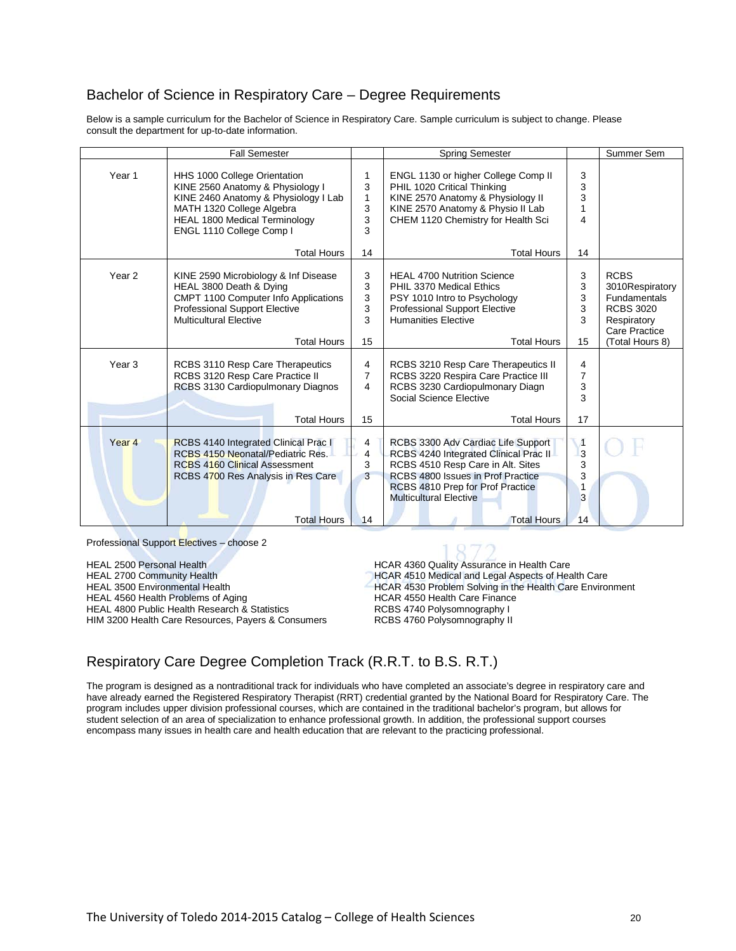#### Bachelor of Science in Respiratory Care – Degree Requirements

Below is a sample curriculum for the Bachelor of Science in Respiratory Care. Sample curriculum is subject to change. Please consult the department for up-to-date information.

|                   | <b>Fall Semester</b>                                                                                                                                                                                                            |                                     | <b>Spring Semester</b>                                                                                                                                                                                                                           |                                               | Summer Sem                                                                                                                   |
|-------------------|---------------------------------------------------------------------------------------------------------------------------------------------------------------------------------------------------------------------------------|-------------------------------------|--------------------------------------------------------------------------------------------------------------------------------------------------------------------------------------------------------------------------------------------------|-----------------------------------------------|------------------------------------------------------------------------------------------------------------------------------|
| Year <sub>1</sub> | HHS 1000 College Orientation<br>KINE 2560 Anatomy & Physiology I<br>KINE 2460 Anatomy & Physiology I Lab<br>MATH 1320 College Algebra<br><b>HEAL 1800 Medical Terminology</b><br>ENGL 1110 College Comp I<br><b>Total Hours</b> | 1<br>3<br>1<br>3<br>3<br>3<br>14    | ENGL 1130 or higher College Comp II<br>PHIL 1020 Critical Thinking<br>KINE 2570 Anatomy & Physiology II<br>KINE 2570 Anatomy & Physio II Lab<br>CHEM 1120 Chemistry for Health Sci<br><b>Total Hours</b>                                         | 3<br>3<br>3<br>1<br>4<br>14                   |                                                                                                                              |
| Year 2            | KINE 2590 Microbiology & Inf Disease<br>HEAL 3800 Death & Dying<br>CMPT 1100 Computer Info Applications<br><b>Professional Support Elective</b><br><b>Multicultural Elective</b><br><b>Total Hours</b>                          | 3<br>3<br>3<br>3<br>3<br>15         | <b>HEAL 4700 Nutrition Science</b><br>PHIL 3370 Medical Ethics<br>PSY 1010 Intro to Psychology<br><b>Professional Support Elective</b><br><b>Humanities Elective</b><br><b>Total Hours</b>                                                       | 3<br>3<br>3<br>3<br>3<br>15                   | <b>RCBS</b><br>3010Respiratory<br><b>Fundamentals</b><br><b>RCBS 3020</b><br>Respiratory<br>Care Practice<br>(Total Hours 8) |
| Year <sub>3</sub> | RCBS 3110 Resp Care Therapeutics<br>RCBS 3120 Resp Care Practice II<br>RCBS 3130 Cardiopulmonary Diagnos<br><b>Total Hours</b>                                                                                                  | 4<br>$\overline{7}$<br>4<br>15      | RCBS 3210 Resp Care Therapeutics II<br>RCBS 3220 Respira Care Practice III<br>RCBS 3230 Cardiopulmonary Diagn<br>Social Science Elective<br><b>Total Hours</b>                                                                                   | 4<br>7<br>3<br>3<br>17                        |                                                                                                                              |
| Year <sub>4</sub> | RCBS 4140 Integrated Clinical Prac I<br>RCBS 4150 Neonatal/Pediatric Res.<br><b>RCBS 4160 Clinical Assessment</b><br>RCBS 4700 Res Analysis in Res Care<br><b>Total Hours</b>                                                   | 4<br>$\overline{4}$<br>3<br>3<br>14 | RCBS 3300 Adv Cardiac Life Support<br>RCBS 4240 Integrated Clinical Prac II<br>RCBS 4510 Resp Care in Alt. Sites<br>RCBS 4800 Issues in Prof Practice<br>RCBS 4810 Prep for Prof Practice<br><b>Multicultural Elective</b><br><b>Total Hours</b> | $\overline{A}$<br>3<br>3<br>3<br>1<br>3<br>14 |                                                                                                                              |

Professional Support Electives – choose 2

HEAL 2500 Personal Health **HEAL 2500 Personal Health Care**<br>HEAL 2700 Community Health **HEAL 2700 Community Health** Care HEAL 2700 Community Health **HEAL 2700 Community Health Care**<br>HCAR 4530 Problem Solving in the Health Care Enviror HEAL 4560 Health Problems of Aging Health Care Finance<br>HEAL 4800 Public Health Research & Statistics HEAR 4740 Polysomnography I HEAL 4800 Public Health Research & Statistics **REAL 4800 Public Health Research & Statistics** RCBS 4740 Polysomnography II<br>HIM 3200 Health Care Resources, Payers & Consumers RCBS 4760 Polysomnography II HIM 3200 Health Care Resources, Payers & Consumers

HCAR 4530 Problem Solving in the Health Care Environment

# Respiratory Care Degree Completion Track (R.R.T. to B.S. R.T.)

The program is designed as a nontraditional track for individuals who have completed an associate's degree in respiratory care and have already earned the Registered Respiratory Therapist (RRT) credential granted by the National Board for Respiratory Care. The program includes upper division professional courses, which are contained in the traditional bachelor's program, but allows for student selection of an area of specialization to enhance professional growth. In addition, the professional support courses encompass many issues in health care and health education that are relevant to the practicing professional.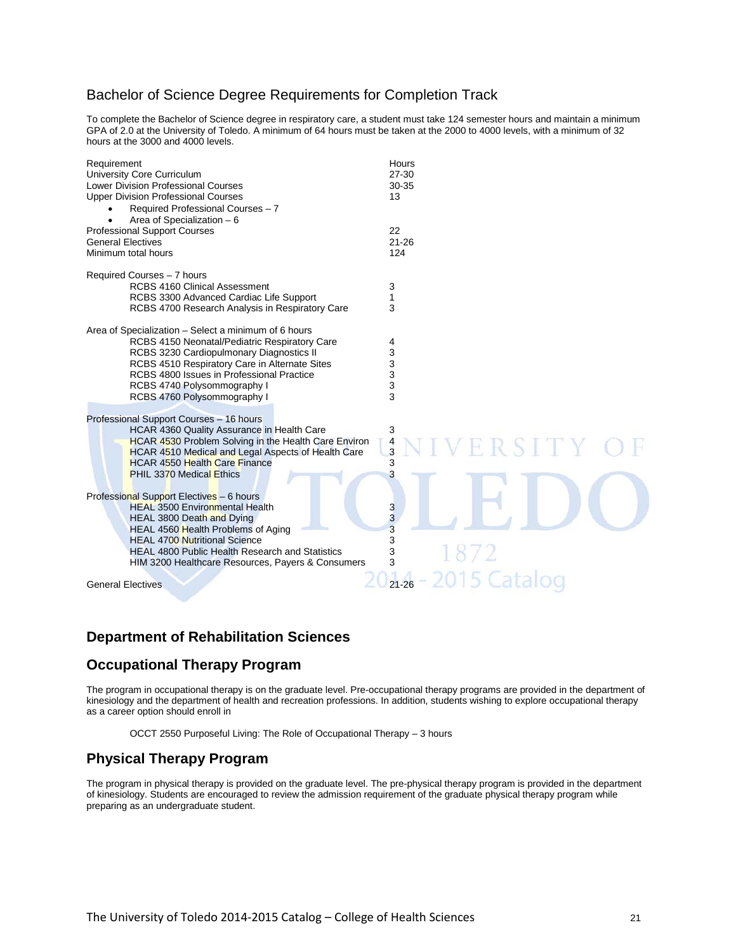#### Bachelor of Science Degree Requirements for Completion Track

To complete the Bachelor of Science degree in respiratory care, a student must take 124 semester hours and maintain a minimum GPA of 2.0 at the University of Toledo. A minimum of 64 hours must be taken at the 2000 to 4000 levels, with a minimum of 32 hours at the 3000 and 4000 levels.

| Requirement<br>University Core Curriculum<br>Lower Division Professional Courses<br><b>Upper Division Professional Courses</b><br>Required Professional Courses - 7<br>Area of Specialization - 6<br><b>Professional Support Courses</b><br><b>General Electives</b><br>Minimum total hours                   | Hours<br>27-30<br>30-35<br>13<br>22<br>$21 - 26$<br>124  |
|---------------------------------------------------------------------------------------------------------------------------------------------------------------------------------------------------------------------------------------------------------------------------------------------------------------|----------------------------------------------------------|
| Required Courses - 7 hours<br><b>RCBS 4160 Clinical Assessment</b><br>RCBS 3300 Advanced Cardiac Life Support<br>RCBS 4700 Research Analysis in Respiratory Care                                                                                                                                              | 3<br>1<br>3                                              |
| Area of Specialization – Select a minimum of 6 hours<br>RCBS 4150 Neonatal/Pediatric Respiratory Care<br>RCBS 3230 Cardiopulmonary Diagnostics II<br>RCBS 4510 Respiratory Care in Alternate Sites<br>RCBS 4800 Issues in Professional Practice<br>RCBS 4740 Polysommography I<br>RCBS 4760 Polysommography I | 4<br>3<br>3<br>3<br>3<br>3                               |
| Professional Support Courses - 16 hours<br>HCAR 4360 Quality Assurance in Health Care<br>HCAR 4530 Problem Solving in the Health Care Environ<br>HCAR 4510 Medical and Legal Aspects of Health Care<br><b>HCAR 4550 Health Care Finance</b><br><b>PHIL 3370 Medical Ethics</b>                                | 3<br>$\frac{4}{3}$<br>ERSITY<br>3<br>3                   |
| Professional Support Electives - 6 hours<br><b>HEAL 3500 Environmental Health</b><br>HEAL 3800 Death and Dying<br>HEAL 4560 Health Problems of Aging<br><b>HEAL 4700 Nutritional Science</b><br><b>HEAL 4800 Public Health Research and Statistics</b><br>HIM 3200 Healthcare Resources, Payers & Consumers   | $\overline{\mathbf{3}}$<br>3<br>3<br>3<br>1872<br>3<br>3 |
| <b>General Electives</b>                                                                                                                                                                                                                                                                                      | 2015 Catal<br>$21 - 26$                                  |

#### **Department of Rehabilitation Sciences**

#### **Occupational Therapy Program**

The program in occupational therapy is on the graduate level. Pre-occupational therapy programs are provided in the department of kinesiology and the department of health and recreation professions. In addition, students wishing to explore occupational therapy as a career option should enroll in

OCCT 2550 Purposeful Living: The Role of Occupational Therapy – 3 hours

#### **Physical Therapy Program**

The program in physical therapy is provided on the graduate level. The pre-physical therapy program is provided in the department of kinesiology. Students are encouraged to review the admission requirement of the graduate physical therapy program while preparing as an undergraduate student.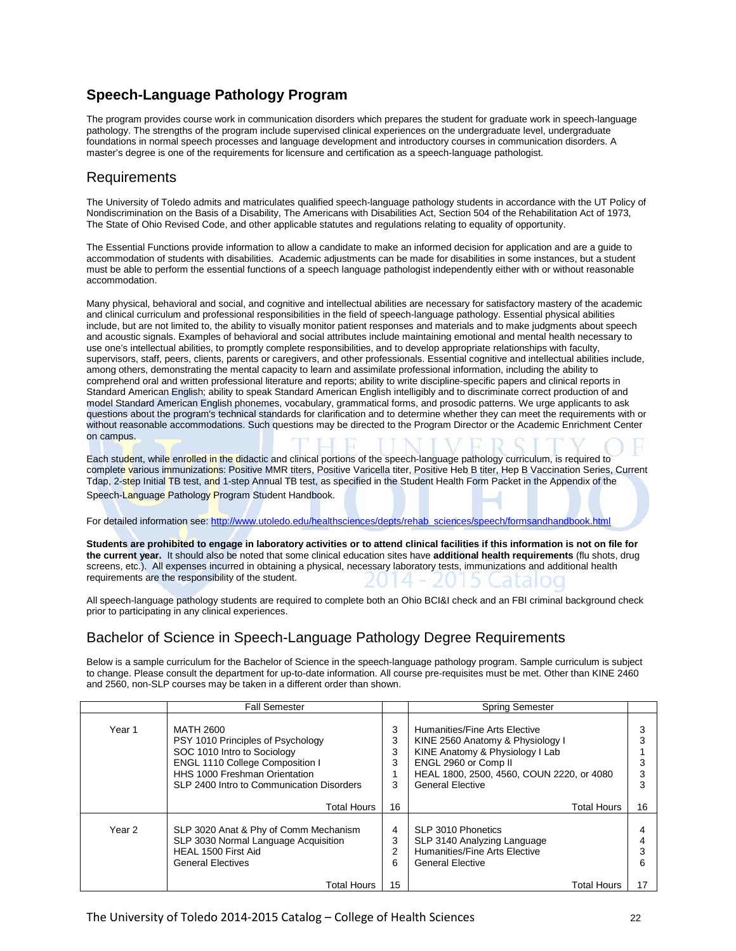## **Speech-Language Pathology Program**

The program provides course work in communication disorders which prepares the student for graduate work in speech-language pathology. The strengths of the program include supervised clinical experiences on the undergraduate level, undergraduate foundations in normal speech processes and language development and introductory courses in communication disorders. A master's degree is one of the requirements for licensure and certification as a speech-language pathologist.

#### Requirements

The University of Toledo admits and matriculates qualified speech-language pathology students in accordance with the UT Policy of Nondiscrimination on the Basis of a Disability, The Americans with Disabilities Act, Section 504 of the Rehabilitation Act of 1973, The State of Ohio Revised Code, and other applicable statutes and regulations relating to equality of opportunity.

The Essential Functions provide information to allow a candidate to make an informed decision for application and are a guide to accommodation of students with disabilities. Academic adjustments can be made for disabilities in some instances, but a student must be able to perform the essential functions of a speech language pathologist independently either with or without reasonable accommodation.

Many physical, behavioral and social, and cognitive and intellectual abilities are necessary for satisfactory mastery of the academic and clinical curriculum and professional responsibilities in the field of speech-language pathology. Essential physical abilities include, but are not limited to, the ability to visually monitor patient responses and materials and to make judgments about speech and acoustic signals. Examples of behavioral and social attributes include maintaining emotional and mental health necessary to use one's intellectual abilities, to promptly complete responsibilities, and to develop appropriate relationships with faculty, supervisors, staff, peers, clients, parents or caregivers, and other professionals. Essential cognitive and intellectual abilities include, among others, demonstrating the mental capacity to learn and assimilate professional information, including the ability to comprehend oral and written professional literature and reports; ability to write discipline-specific papers and clinical reports in Standard American English; ability to speak Standard American English intelligibly and to discriminate correct production of and model Standard American English phonemes, vocabulary, grammatical forms, and prosodic patterns. We urge applicants to ask questions about the program's technical standards for clarification and to determine whether they can meet the requirements with or without reasonable accommodations. Such questions may be directed to the Program Director or the Academic Enrichment Center on campus.

Each student, while enrolled in the didactic and clinical portions of the speech-language pathology curriculum, is required to complete various immunizations: Positive MMR titers, Positive Varicella titer, Positive Heb B titer, Hep B Vaccination Series, Current Tdap, 2-step Initial TB test, and 1-step Annual TB test, as specified in the Student Health Form Packet in the Appendix of the Speech-Language Pathology Program Student Handbook.

For detailed information see[: http://www.utoledo.edu/healthsciences/depts/rehab\\_sciences/speech/formsandhandbook.html](http://www.utoledo.edu/healthsciences/depts/rehab_sciences/speech/formsandhandbook.html)

**Students are prohibited to engage in laboratory activities or to attend clinical facilities if this information is not on file for the current year.** It should also be noted that some clinical education sites have **additional health requirements** (flu shots, drug screens, etc.). All expenses incurred in obtaining a physical, necessary laboratory tests, immunizations and additional health requirements are the responsibility of the student.

All speech-language pathology students are required to complete both an Ohio BCI&I check and an FBI criminal background check prior to participating in any clinical experiences.

#### Bachelor of Science in Speech-Language Pathology Degree Requirements

Below is a sample curriculum for the Bachelor of Science in the speech-language pathology program. Sample curriculum is subject to change. Please consult the department for up-to-date information. All course pre-requisites must be met. Other than KINE 2460 and 2560, non-SLP courses may be taken in a different order than shown.

|        | <b>Fall Semester</b><br><b>Spring Semester</b>                                                                                                                                                 |                       |                                                                                                                                                                                                      |    |
|--------|------------------------------------------------------------------------------------------------------------------------------------------------------------------------------------------------|-----------------------|------------------------------------------------------------------------------------------------------------------------------------------------------------------------------------------------------|----|
| Year 1 | MATH 2600<br>PSY 1010 Principles of Psychology<br>SOC 1010 Intro to Sociology<br>ENGL 1110 College Composition I<br>HHS 1000 Freshman Orientation<br>SLP 2400 Intro to Communication Disorders | 3<br>3<br>3<br>3<br>3 | Humanities/Fine Arts Elective<br>KINE 2560 Anatomy & Physiology I<br>KINE Anatomy & Physiology I Lab<br>ENGL 2960 or Comp II<br>HEAL 1800, 2500, 4560, COUN 2220, or 4080<br><b>General Elective</b> |    |
|        | <b>Total Hours</b>                                                                                                                                                                             | 16                    | <b>Total Hours</b>                                                                                                                                                                                   | 16 |
| Year 2 | SLP 3020 Anat & Phy of Comm Mechanism<br>SLP 3030 Normal Language Acquisition<br>HEAL 1500 First Aid<br><b>General Electives</b>                                                               | 4<br>3<br>2<br>6      | SLP 3010 Phonetics<br>SLP 3140 Analyzing Language<br>Humanities/Fine Arts Elective<br><b>General Elective</b>                                                                                        | 6  |
|        | <b>Total Hours</b>                                                                                                                                                                             | 15                    | <b>Total Hours</b>                                                                                                                                                                                   | 17 |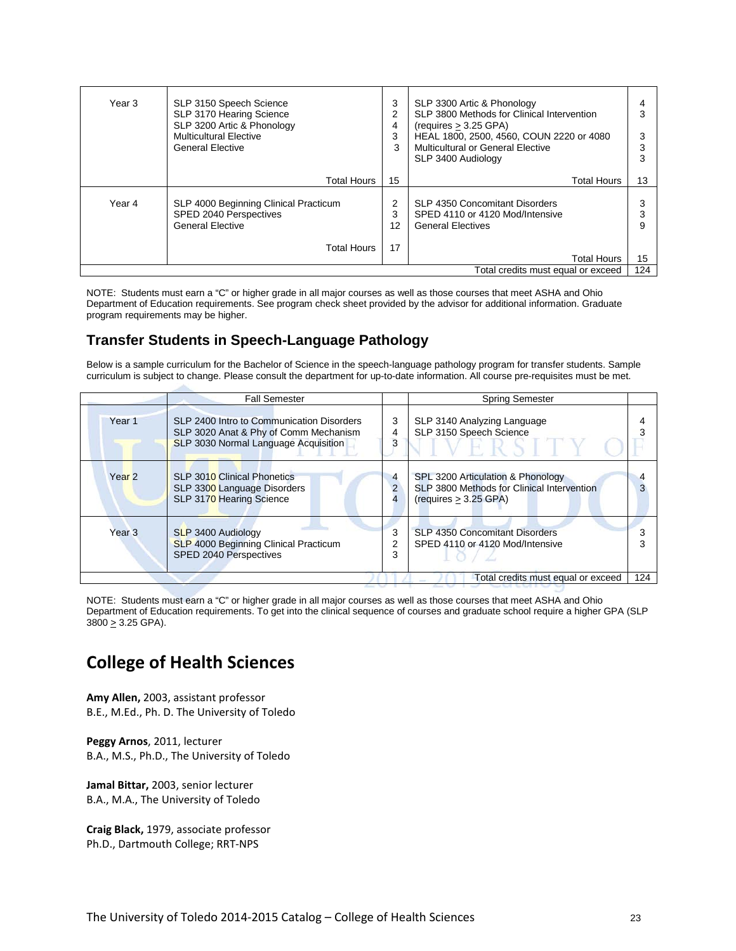| Year 3 | SLP 3150 Speech Science<br>SLP 3170 Hearing Science<br>SLP 3200 Artic & Phonology<br><b>Multicultural Elective</b><br><b>General Elective</b> | 3<br>2<br>4<br>3<br>3 | SLP 3300 Artic & Phonology<br>SLP 3800 Methods for Clinical Intervention<br>(requires > 3.25 GPA)<br>HEAL 1800, 2500, 4560, COUN 2220 or 4080<br>Multicultural or General Elective<br>SLP 3400 Audiology |     |
|--------|-----------------------------------------------------------------------------------------------------------------------------------------------|-----------------------|----------------------------------------------------------------------------------------------------------------------------------------------------------------------------------------------------------|-----|
|        | <b>Total Hours</b>                                                                                                                            | 15                    | <b>Total Hours</b>                                                                                                                                                                                       | 13  |
| Year 4 | SLP 4000 Beginning Clinical Practicum<br>SPED 2040 Perspectives<br><b>General Elective</b>                                                    | 2<br>3<br>12          | SLP 4350 Concomitant Disorders<br>SPED 4110 or 4120 Mod/Intensive<br><b>General Electives</b>                                                                                                            |     |
|        | <b>Total Hours</b>                                                                                                                            | 17                    | <b>Total Hours</b>                                                                                                                                                                                       | 15  |
|        |                                                                                                                                               |                       | Total credits must equal or exceed                                                                                                                                                                       | 124 |

NOTE: Students must earn a "C" or higher grade in all major courses as well as those courses that meet ASHA and Ohio Department of Education requirements. See program check sheet provided by the advisor for additional information. Graduate program requirements may be higher.

# **Transfer Students in Speech-Language Pathology**

Below is a sample curriculum for the Bachelor of Science in the speech-language pathology program for transfer students. Sample curriculum is subject to change. Please consult the department for up-to-date information. All course pre-requisites must be met.

|                   | <b>Fall Semester</b>                                                                                                       |                     | <b>Spring Semester</b>                                                                                   |     |
|-------------------|----------------------------------------------------------------------------------------------------------------------------|---------------------|----------------------------------------------------------------------------------------------------------|-----|
| Year 1            | SLP 2400 Intro to Communication Disorders<br>SLP 3020 Anat & Phy of Comm Mechanism<br>SLP 3030 Normal Language Acquisition | 3<br>4              | SLP 3140 Analyzing Language<br>SLP 3150 Speech Science                                                   |     |
| Year <sub>2</sub> | <b>SLP 3010 Clinical Phonetics</b><br>SLP 3300 Language Disorders<br>SLP 3170 Hearing Science                              | $\overline{4}$<br>2 | SPL 3200 Articulation & Phonology<br>SLP 3800 Methods for Clinical Intervention<br>(requires > 3.25 GPA) |     |
| Year <sub>3</sub> | <b>SLP 3400 Audiology</b><br><b>SLP 4000 Beginning Clinical Practicum</b><br>SPED 2040 Perspectives                        | 3                   | SLP 4350 Concomitant Disorders<br>SPED 4110 or 4120 Mod/Intensive                                        |     |
|                   |                                                                                                                            |                     | Total credits must equal or exceed                                                                       | 124 |

NOTE: Students must earn a "C" or higher grade in all major courses as well as those courses that meet ASHA and Ohio Department of Education requirements. To get into the clinical sequence of courses and graduate school require a higher GPA (SLP  $3800 \ge 3.25$  GPA).

# **College of Health Sciences**

**Amy Allen,** 2003, assistant professor B.E., M.Ed., Ph. D. The University of Toledo

**Peggy Arnos**, 2011, lecturer B.A., M.S., Ph.D., The University of Toledo

**Jamal Bittar,** 2003, senior lecturer B.A., M.A., The University of Toledo

**Craig Black,** 1979, associate professor Ph.D., Dartmouth College; RRT-NPS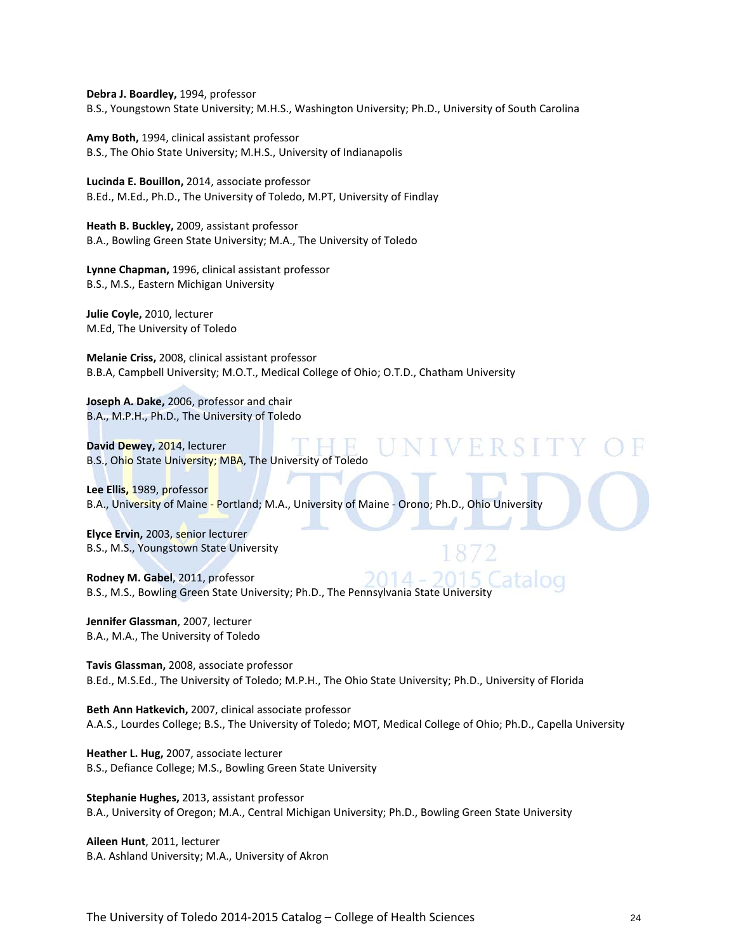**Debra J. Boardley,** 1994, professor B.S., Youngstown State University; M.H.S., Washington University; Ph.D., University of South Carolina

**Amy Both,** 1994, clinical assistant professor B.S., The Ohio State University; M.H.S., University of Indianapolis

**Lucinda E. Bouillon,** 2014, associate professor B.Ed., M.Ed., Ph.D., The University of Toledo, M.PT, University of Findlay

**Heath B. Buckley,** 2009, assistant professor B.A., Bowling Green State University; M.A., The University of Toledo

**Lynne Chapman,** 1996, clinical assistant professor B.S., M.S., Eastern Michigan University

**Julie Coyle,** 2010, lecturer M.Ed, The University of Toledo

**Melanie Criss,** 2008, clinical assistant professor B.B.A, Campbell University; M.O.T., Medical College of Ohio; O.T.D., Chatham University

**Joseph A. Dake,** 2006, professor and chair B.A., M.P.H., Ph.D., The University of Toledo

**David Dewey,** 2014, lecturer B.S., Ohio State University; MBA, The University of Toledo

**Lee Ellis,** 1989, professor B.A., University of Maine - Portland; M.A., University of Maine - Orono; Ph.D., Ohio University

**Elyce Ervin,** 2003, senior lecturer B.S., M.S., Youngstown State University

2014 **Rodney M. Gabel**, 2011, professor B.S., M.S., Bowling Green State University; Ph.D., The Pennsylvania State University

**Jennifer Glassman**, 2007, lecturer B.A., M.A., The University of Toledo

**Tavis Glassman,** 2008, associate professor B.Ed., M.S.Ed., The University of Toledo; M.P.H., The Ohio State University; Ph.D., University of Florida

**Beth Ann Hatkevich,** 2007, clinical associate professor A.A.S., Lourdes College; B.S., The University of Toledo; MOT, Medical College of Ohio; Ph.D., Capella University

**Heather L. Hug,** 2007, associate lecturer B.S., Defiance College; M.S., Bowling Green State University

**Stephanie Hughes,** 2013, assistant professor B.A., University of Oregon; M.A., Central Michigan University; Ph.D., Bowling Green State University

**Aileen Hunt**, 2011, lecturer B.A. Ashland University; M.A., University of Akron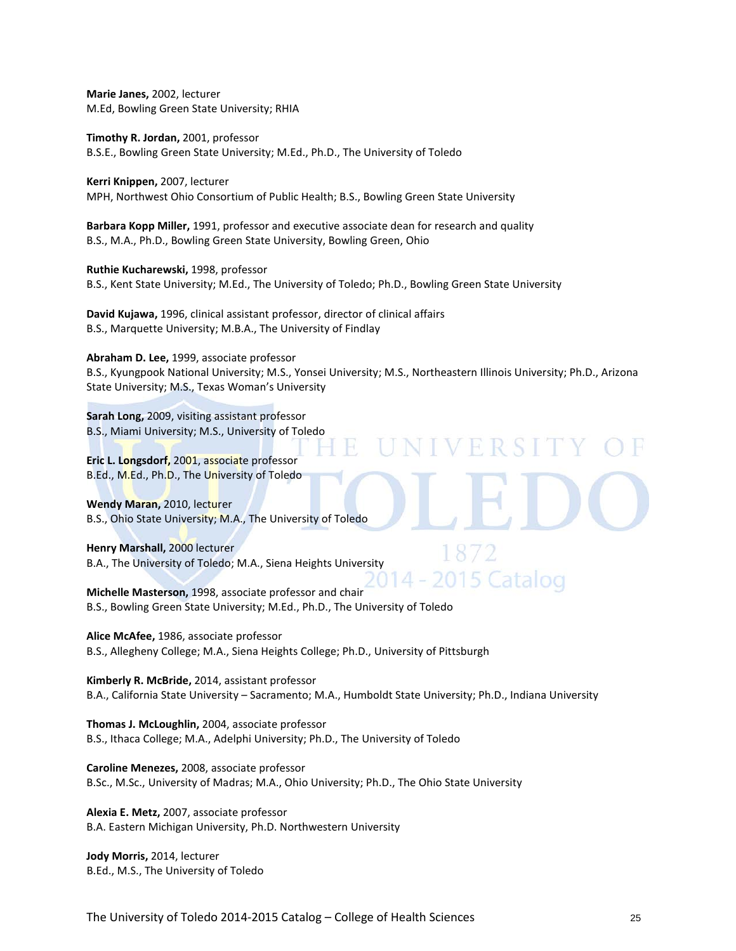**Marie Janes,** 2002, lecturer M.Ed, Bowling Green State University; RHIA

**Timothy R. Jordan,** 2001, professor B.S.E., Bowling Green State University; M.Ed., Ph.D., The University of Toledo

**Kerri Knippen,** 2007, lecturer MPH, Northwest Ohio Consortium of Public Health; B.S., Bowling Green State University

**Barbara Kopp Miller,** 1991, professor and executive associate dean for research and quality B.S., M.A., Ph.D., Bowling Green State University, Bowling Green, Ohio

**Ruthie Kucharewski,** 1998, professor B.S., Kent State University; M.Ed., The University of Toledo; Ph.D., Bowling Green State University

**David Kujawa,** 1996, clinical assistant professor, director of clinical affairs B.S., Marquette University; M.B.A., The University of Findlay

**Abraham D. Lee,** 1999, associate professor B.S., Kyungpook National University; M.S., Yonsei University; M.S., Northeastern Illinois University; Ph.D., Arizona State University; M.S., Texas Woman's University

RRS

15 Catalog

**Sarah Long,** 2009, visiting assistant professor B.S., Miami University; M.S., University of Toledo

**Eric L. Longsdorf,** 2001, associate professor B.Ed., M.Ed., Ph.D., The University of Toledo

**Wendy Maran,** 2010, lecturer B.S., Ohio State University; M.A., The University of Toledo

**Henry Marshall,** 2000 lecturer B.A., The University of Toledo; M.A., Siena Heights University

**Michelle Masterson,** 1998, associate professor and chair B.S., Bowling Green State University; M.Ed., Ph.D., The University of Toledo

**Alice McAfee,** 1986, associate professor B.S., Allegheny College; M.A., Siena Heights College; Ph.D., University of Pittsburgh

**Kimberly R. McBride,** 2014, assistant professor B.A., California State University – Sacramento; M.A., Humboldt State University; Ph.D., Indiana University

**Thomas J. McLoughlin,** 2004, associate professor B.S., Ithaca College; M.A., Adelphi University; Ph.D., The University of Toledo

**Caroline Menezes,** 2008, associate professor B.Sc., M.Sc., University of Madras; M.A., Ohio University; Ph.D., The Ohio State University

**Alexia E. Metz,** 2007, associate professor B.A. Eastern Michigan University, Ph.D. Northwestern University

**Jody Morris,** 2014, lecturer B.Ed., M.S., The University of Toledo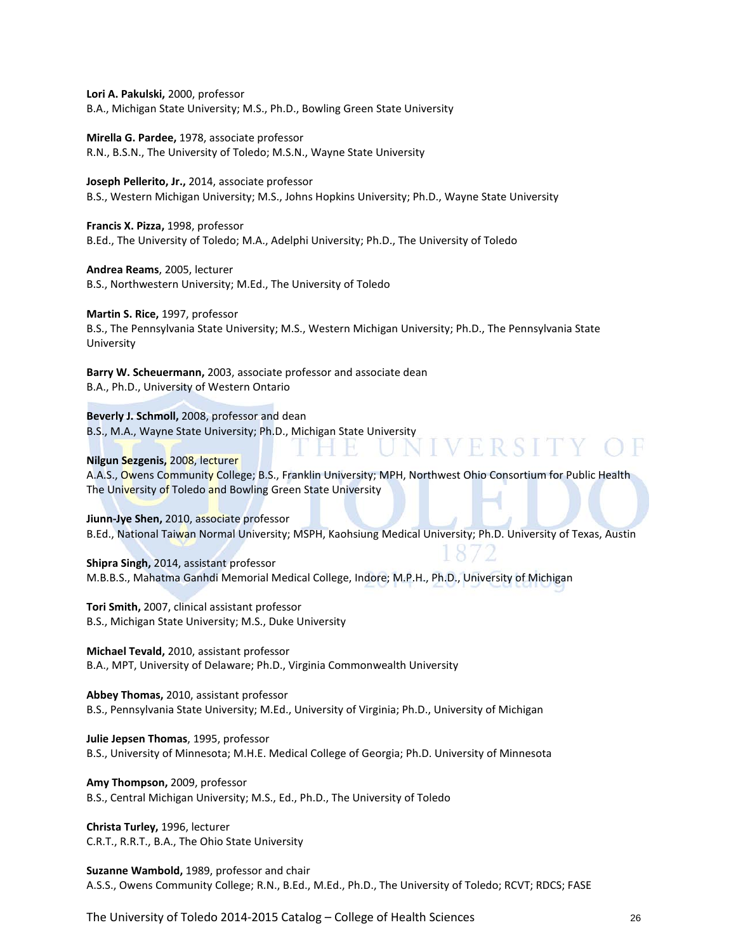**Lori A. Pakulski,** 2000, professor B.A., Michigan State University; M.S., Ph.D., Bowling Green State University

**Mirella G. Pardee,** 1978, associate professor R.N., B.S.N., The University of Toledo; M.S.N., Wayne State University

**Joseph Pellerito, Jr.,** 2014, associate professor B.S., Western Michigan University; M.S., Johns Hopkins University; Ph.D., Wayne State University

**Francis X. Pizza,** 1998, professor B.Ed., The University of Toledo; M.A., Adelphi University; Ph.D., The University of Toledo

**Andrea Reams**, 2005, lecturer B.S., Northwestern University; M.Ed., The University of Toledo

**Martin S. Rice,** 1997, professor B.S., The Pennsylvania State University; M.S., Western Michigan University; Ph.D., The Pennsylvania State University

**Barry W. Scheuermann,** 2003, associate professor and associate dean B.A., Ph.D., University of Western Ontario

**Beverly J. Schmoll,** 2008, professor and dean B.S., M.A., Wayne State University; Ph.D., Michigan State University

#### **Nilgun Sezgenis,** 2008, lecturer

A.A.S., Owens Community College; B.S., Franklin University; MPH, Northwest Ohio Consortium for Public Health The University of Toledo and Bowling Green State University

VERSITY

**Jiunn-Jye Shen,** 2010, associate professor B.Ed., National Taiwan Normal University; MSPH, Kaohsiung Medical University; Ph.D. University of Texas, Austin

**Shipra Singh,** 2014, assistant professor M.B.B.S., Mahatma Ganhdi Memorial Medical College, Indore; M.P.H., Ph.D., University of Michigan

**Tori Smith,** 2007, clinical assistant professor B.S., Michigan State University; M.S., Duke University

**Michael Tevald,** 2010, assistant professor B.A., MPT, University of Delaware; Ph.D., Virginia Commonwealth University

**Abbey Thomas,** 2010, assistant professor B.S., Pennsylvania State University; M.Ed., University of Virginia; Ph.D., University of Michigan

**Julie Jepsen Thomas**, 1995, professor B.S., University of Minnesota; M.H.E. Medical College of Georgia; Ph.D. University of Minnesota

**Amy Thompson,** 2009, professor B.S., Central Michigan University; M.S., Ed., Ph.D., The University of Toledo

**Christa Turley,** 1996, lecturer C.R.T., R.R.T., B.A., The Ohio State University

**Suzanne Wambold,** 1989, professor and chair A.S.S., Owens Community College; R.N., B.Ed., M.Ed., Ph.D., The University of Toledo; RCVT; RDCS; FASE

The University of Toledo 2014-2015 Catalog – College of Health Sciences 26